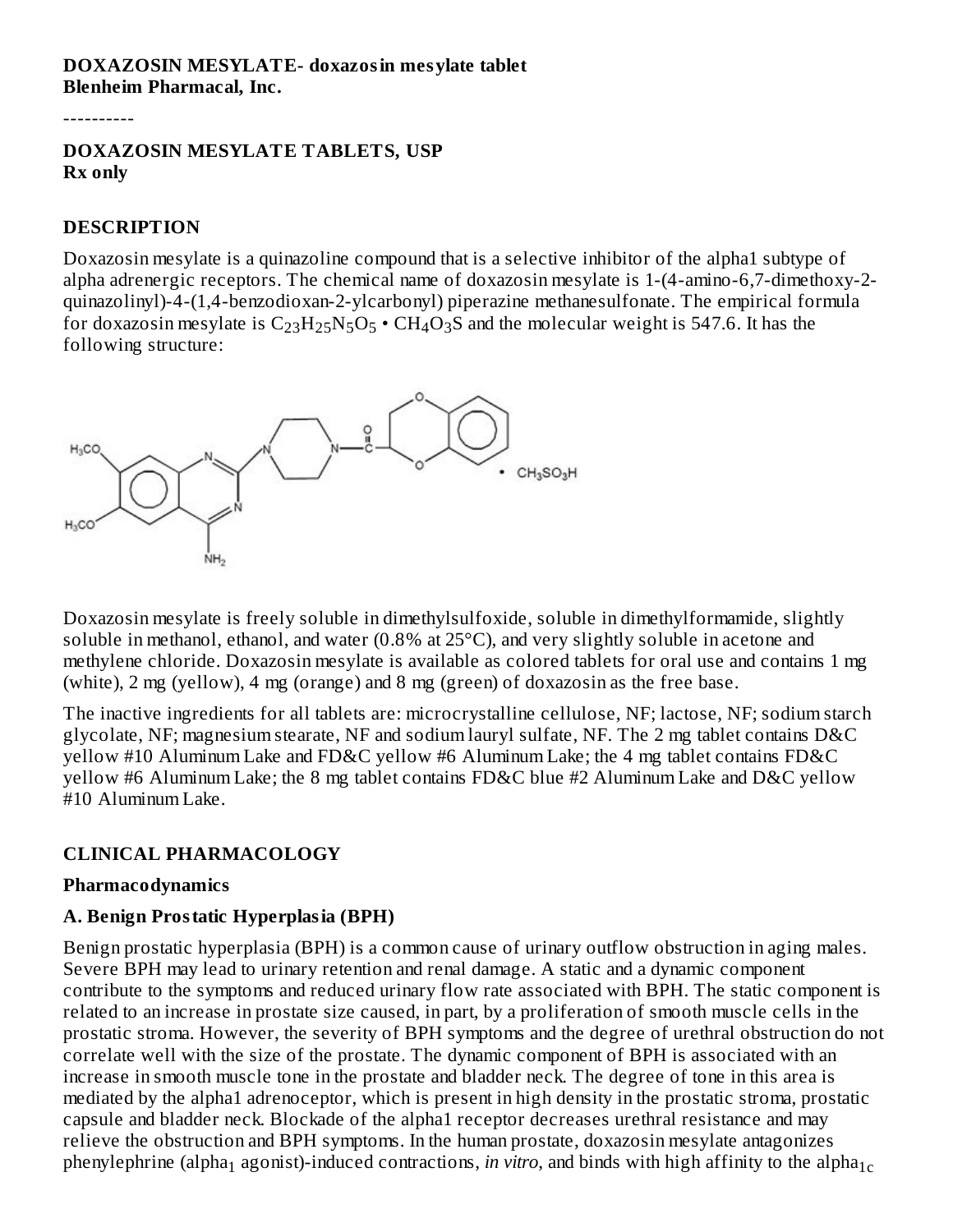### **DOXAZOSIN MESYLATE- doxazosin mesylate tablet Blenheim Pharmacal, Inc.**

----------

#### **DOXAZOSIN MESYLATE TABLETS, USP Rx only**

#### **DESCRIPTION**

Doxazosin mesylate is a quinazoline compound that is a selective inhibitor of the alpha1 subtype of alpha adrenergic receptors. The chemical name of doxazosin mesylate is 1-(4-amino-6,7-dimethoxy-2 quinazolinyl)-4-(1,4-benzodioxan-2-ylcarbonyl) piperazine methanesulfonate. The empirical formula for doxazosin mesylate is  $\rm{C_{23}H_{25}N_5O_5}$   $\boldsymbol{\cdot}$  CH<sub>4</sub>O<sub>3</sub>S and the molecular weight is 547.6. It has the following structure:



Doxazosin mesylate is freely soluble in dimethylsulfoxide, soluble in dimethylformamide, slightly soluble in methanol, ethanol, and water (0.8% at 25°C), and very slightly soluble in acetone and methylene chloride. Doxazosin mesylate is available as colored tablets for oral use and contains 1 mg (white), 2 mg (yellow), 4 mg (orange) and 8 mg (green) of doxazosin as the free base.

The inactive ingredients for all tablets are: microcrystalline cellulose, NF; lactose, NF; sodium starch glycolate, NF; magnesium stearate, NF and sodium lauryl sulfate, NF. The 2 mg tablet contains D&C yellow #10 Aluminum Lake and FD&C yellow #6 Aluminum Lake; the 4 mg tablet contains FD&C yellow #6 Aluminum Lake; the 8 mg tablet contains FD&C blue #2 Aluminum Lake and D&C yellow #10 Aluminum Lake.

## **CLINICAL PHARMACOLOGY**

#### **Pharmacodynamics**

#### **A. Benign Prostatic Hyperplasia (BPH)**

Benign prostatic hyperplasia (BPH) is a common cause of urinary outflow obstruction in aging males. Severe BPH may lead to urinary retention and renal damage. A static and a dynamic component contribute to the symptoms and reduced urinary flow rate associated with BPH. The static component is related to an increase in prostate size caused, in part, by a proliferation of smooth muscle cells in the prostatic stroma. However, the severity of BPH symptoms and the degree of urethral obstruction do not correlate well with the size of the prostate. The dynamic component of BPH is associated with an increase in smooth muscle tone in the prostate and bladder neck. The degree of tone in this area is mediated by the alpha1 adrenoceptor, which is present in high density in the prostatic stroma, prostatic capsule and bladder neck. Blockade of the alpha1 receptor decreases urethral resistance and may relieve the obstruction and BPH symptoms. In the human prostate, doxazosin mesylate antagonizes phenylephrine (alpha $_{\rm 1}$  agonist)-induced contractions, *in vitro*, and binds with high affinity to the alpha $_{\rm 1c}$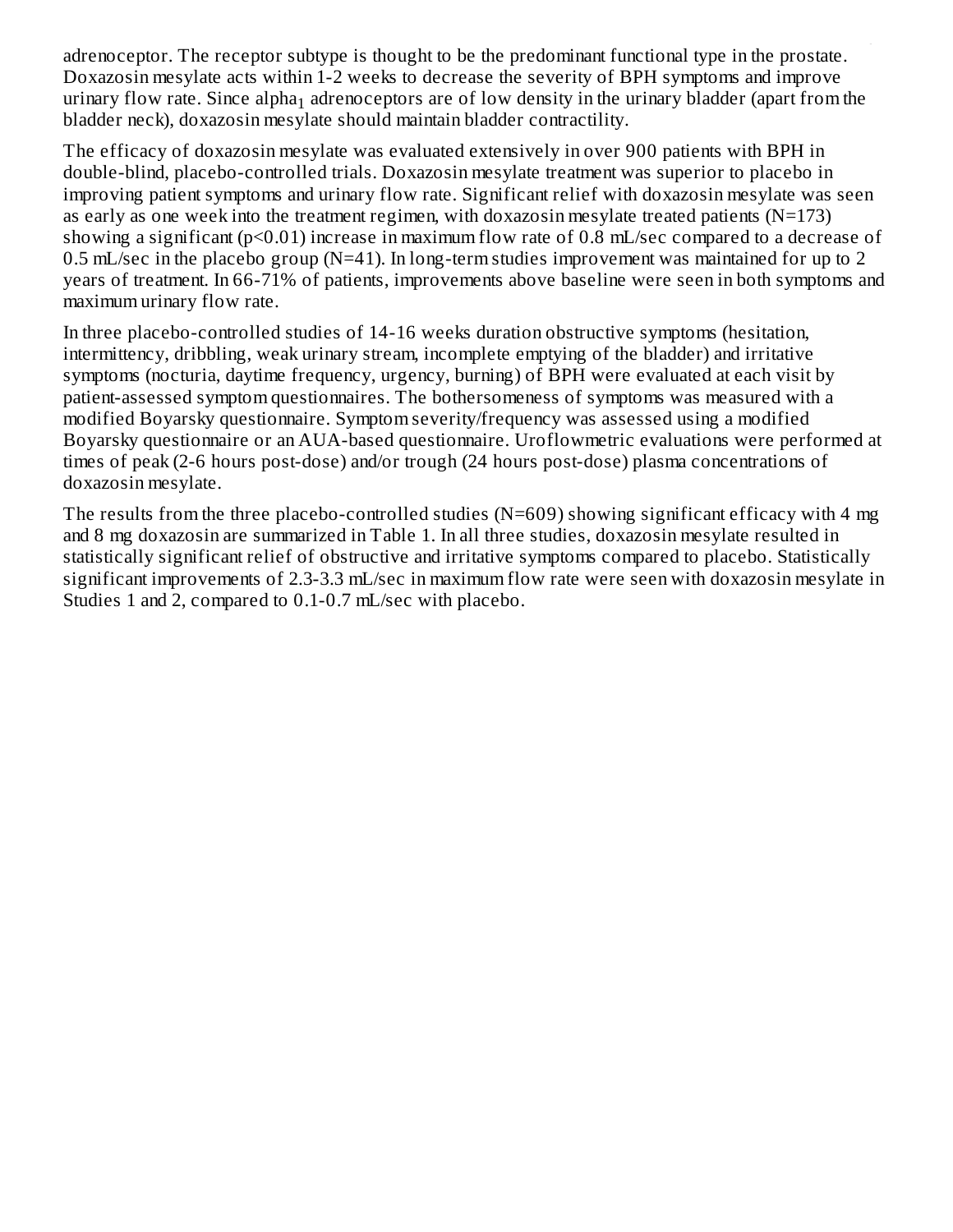adrenoceptor. The receptor subtype is thought to be the predominant functional type in the prostate. Doxazosin mesylate acts within 1-2 weeks to decrease the severity of BPH symptoms and improve urinary flow rate. Since alpha $_1$  adrenoceptors are of low density in the urinary bladder (apart from the bladder neck), doxazosin mesylate should maintain bladder contractility. 1 - 1 1cm - 1cm - 1cm - 1cm - 1cm - 1cm - 1cm - 1cm - 1cm - 1cm - 1cm - 1cm - 1cm - 1cm - 1cm - 1cm

The efficacy of doxazosin mesylate was evaluated extensively in over 900 patients with BPH in double-blind, placebo-controlled trials. Doxazosin mesylate treatment was superior to placebo in improving patient symptoms and urinary flow rate. Significant relief with doxazosin mesylate was seen as early as one week into the treatment regimen, with doxazosin mesylate treated patients  $(N=173)$ showing a significant ( $p<0.01$ ) increase in maximum flow rate of 0.8 mL/sec compared to a decrease of 0.5 mL/sec in the placebo group (N=41). In long-term studies improvement was maintained for up to 2 years of treatment. In 66-71% of patients, improvements above baseline were seen in both symptoms and maximum urinary flow rate.

In three placebo-controlled studies of 14-16 weeks duration obstructive symptoms (hesitation, intermittency, dribbling, weak urinary stream, incomplete emptying of the bladder) and irritative symptoms (nocturia, daytime frequency, urgency, burning) of BPH were evaluated at each visit by patient-assessed symptom questionnaires. The bothersomeness of symptoms was measured with a modified Boyarsky questionnaire. Symptom severity/frequency was assessed using a modified Boyarsky questionnaire or an AUA-based questionnaire. Uroflowmetric evaluations were performed at times of peak (2-6 hours post-dose) and/or trough (24 hours post-dose) plasma concentrations of doxazosin mesylate.

The results from the three placebo-controlled studies (N=609) showing significant efficacy with 4 mg and 8 mg doxazosin are summarized in Table 1. In all three studies, doxazosin mesylate resulted in statistically significant relief of obstructive and irritative symptoms compared to placebo. Statistically significant improvements of 2.3-3.3 mL/sec in maximum flow rate were seen with doxazosin mesylate in Studies 1 and 2, compared to 0.1-0.7 mL/sec with placebo.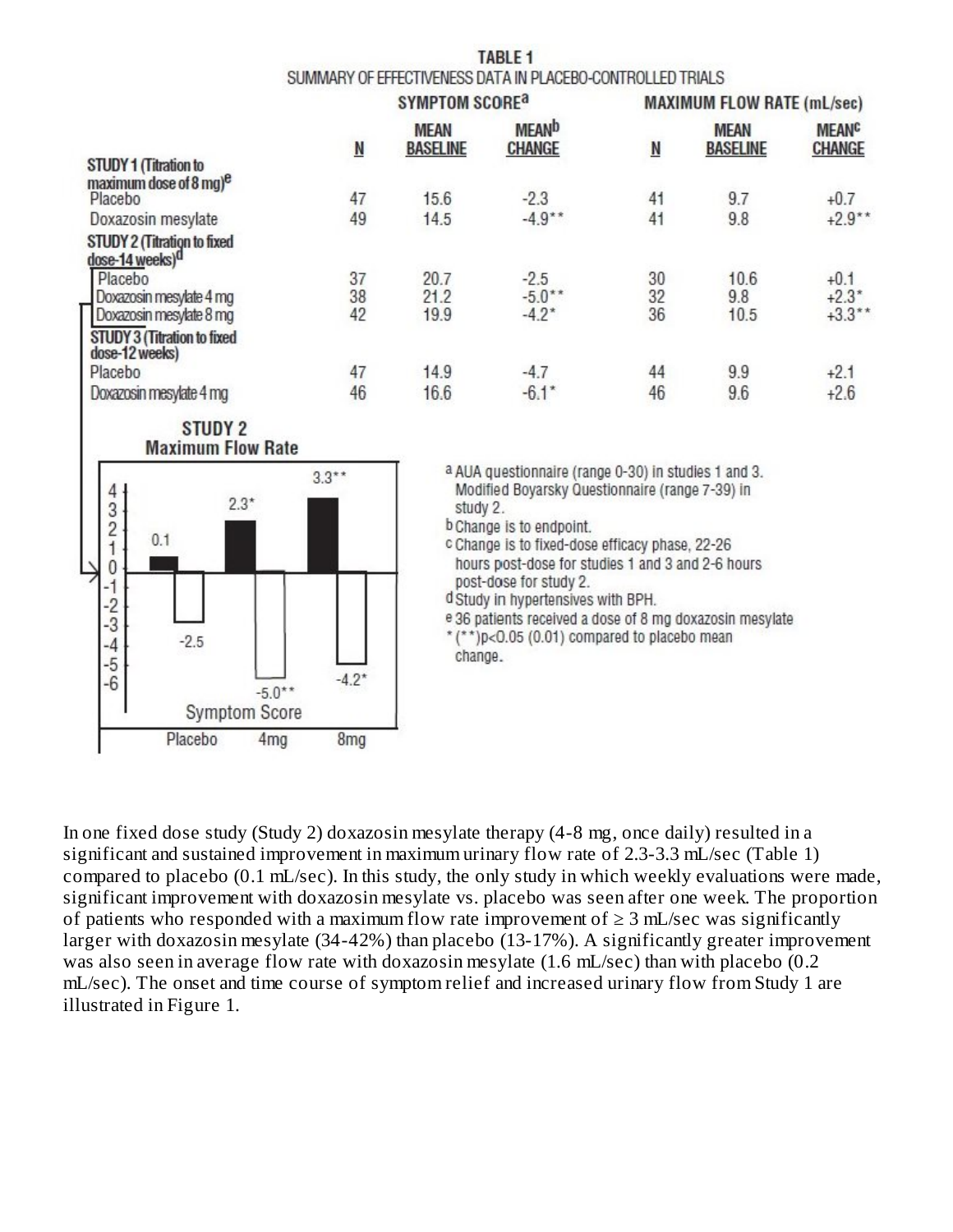| TABLE <sub>1</sub>                                         |
|------------------------------------------------------------|
| SUMMARY OF EFFECTIVENESS DATA IN PLACEBO-CONTROLLED TRIALS |

|                                               | <b>SYMPTOM SCORE</b> <sup>9</sup> |                                |                               |                         | <b>MAXIMUM FLOW RATE (mL/sec)</b> |                                   |
|-----------------------------------------------|-----------------------------------|--------------------------------|-------------------------------|-------------------------|-----------------------------------|-----------------------------------|
|                                               | N                                 | <b>MEAN</b><br><b>BASELINE</b> | <b>MEAND</b><br><b>CHANGE</b> | $\overline{\mathsf{N}}$ | <b>MEAN</b><br><b>BASELINE</b>    | <b>MEAN<sup>C</sup></b><br>CHANGE |
| <b>STUDY 1 (Titration to</b>                  |                                   |                                |                               |                         |                                   |                                   |
| maximum dose of 8 mg) <sup>e</sup><br>Placebo | 47                                | 15.6                           | $-2.3$                        | 41                      | 9.7                               | $+0.7$                            |
|                                               |                                   |                                |                               |                         |                                   |                                   |
| Doxazosin mesylate                            | 49                                | 14.5                           | $-4.9**$                      | 41                      | 9.8                               | $+2.9***$                         |
| STUDY 2 (Titration to fixed                   |                                   |                                |                               |                         |                                   |                                   |
| dose-14 weeks) <sup>d</sup>                   |                                   |                                |                               |                         |                                   |                                   |
| Placebo                                       | 37                                | 20.7                           | $-2.5$                        | 30                      | 10.6                              | $+0.1$                            |
| Doxazosin mesylate 4 mg                       | 38                                | 21.2                           | $-5.0**$                      | 32                      | 9.8                               | $+2.3*$                           |
| Doxazosin mesylate 8 mg                       | 42                                | 19.9                           | $-4.2*$                       | 36                      | 10.5                              | $+3.3***$                         |
| <b>STUDY 3 (Titration to fixed</b>            |                                   |                                |                               |                         |                                   |                                   |
| dose-12 weeks)                                |                                   |                                |                               |                         |                                   |                                   |
| Placebo                                       | 47                                | 14.9                           | $-4.7$                        | 44                      | 9.9                               | $+2.1$                            |
| Doxazosin mesylate 4 mg                       | 46                                | 16.6                           | $-6.1*$                       | 46                      | 9.6                               | $+2.6$                            |



a AUA questionnaire (range 0-30) in studies 1 and 3. Modified Boyarsky Questionnaire (range 7-39) in study 2.

b Change is to endpoint.

c Change is to fixed-dose efficacy phase, 22-26 hours post-dose for studies 1 and 3 and 2-6 hours post-dose for study 2.

d Study in hypertensives with BPH.

e 36 patients received a dose of 8 mg doxazosin mesylate

 $*(*)p<0.05$  (0.01) compared to placebo mean change.

In one fixed dose study (Study 2) doxazosin mesylate therapy (4-8 mg, once daily) resulted in a significant and sustained improvement in maximum urinary flow rate of 2.3-3.3 mL/sec (Table 1) compared to placebo (0.1 mL/sec). In this study, the only study in which weekly evaluations were made, significant improvement with doxazosin mesylate vs. placebo was seen after one week. The proportion of patients who responded with a maximum flow rate improvement of  $\geq 3$  mL/sec was significantly larger with doxazosin mesylate (34-42%) than placebo (13-17%). A significantly greater improvement was also seen in average flow rate with doxazosin mesylate (1.6 mL/sec) than with placebo (0.2 mL/sec). The onset and time course of symptom relief and increased urinary flow from Study 1 are illustrated in Figure 1.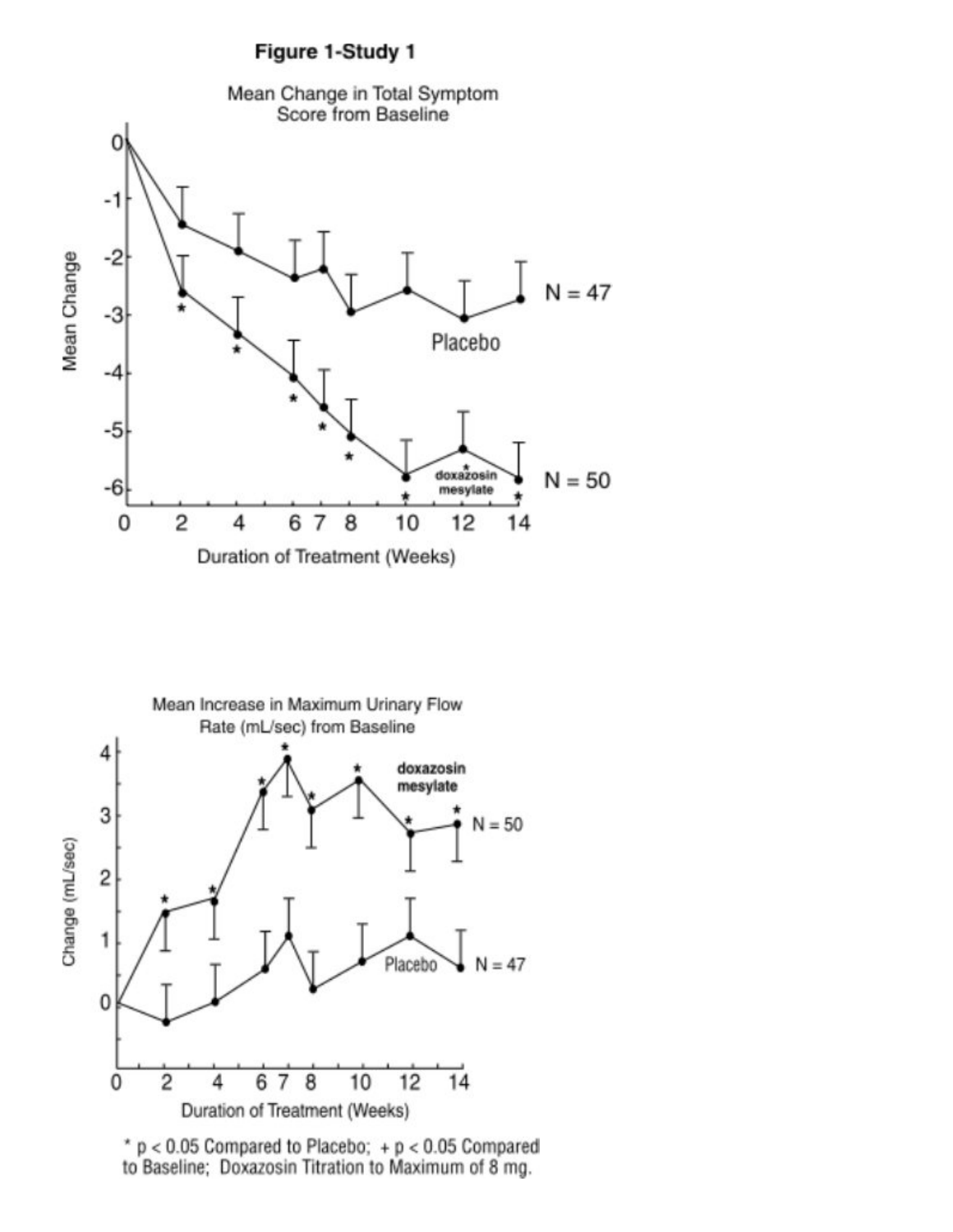



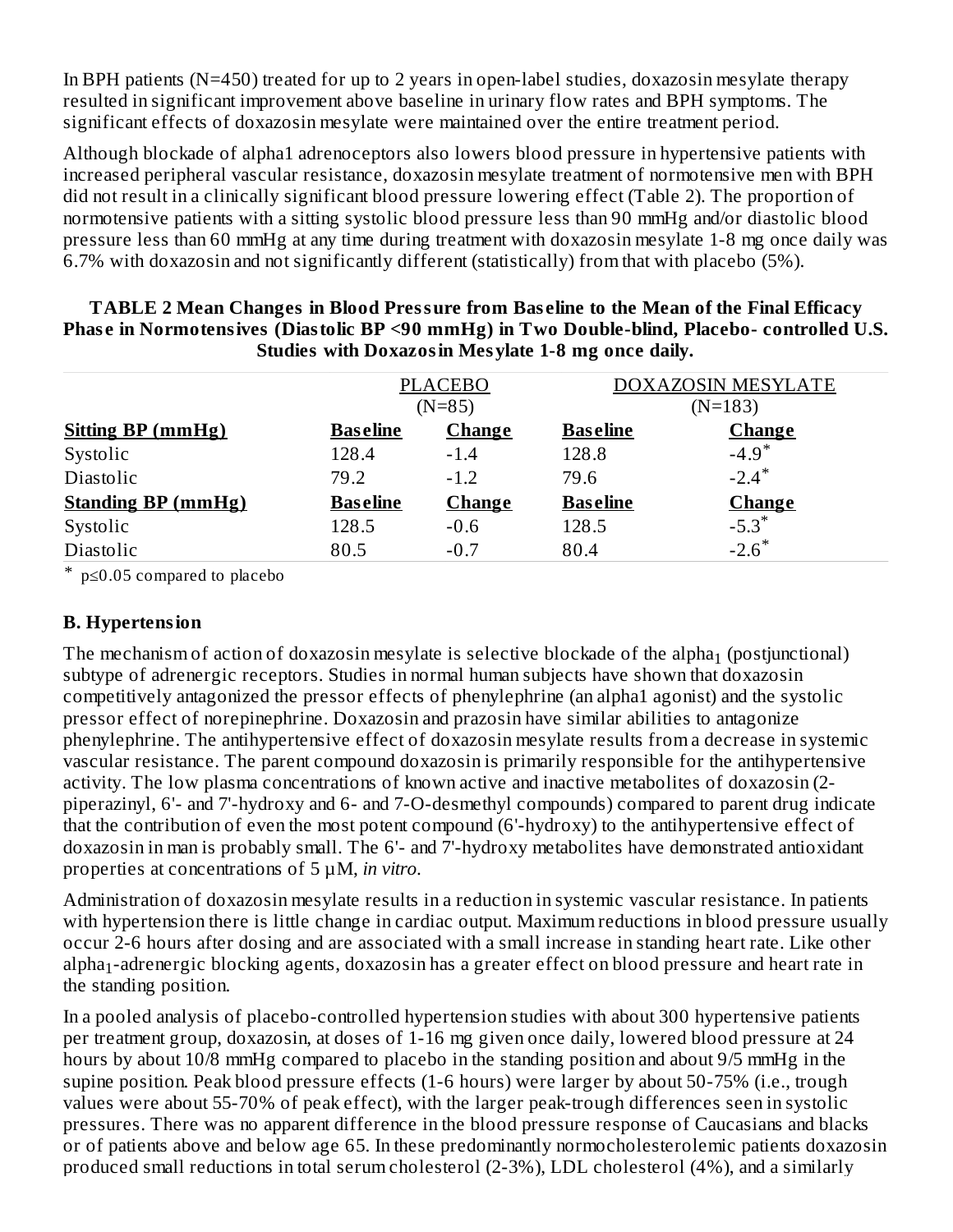In BPH patients (N=450) treated for up to 2 years in open-label studies, doxazosin mesylate therapy resulted in significant improvement above baseline in urinary flow rates and BPH symptoms. The significant effects of doxazosin mesylate were maintained over the entire treatment period.

Although blockade of alpha1 adrenoceptors also lowers blood pressure in hypertensive patients with increased peripheral vascular resistance, doxazosin mesylate treatment of normotensive men with BPH did not result in a clinically significant blood pressure lowering effect (Table 2). The proportion of normotensive patients with a sitting systolic blood pressure less than 90 mmHg and/or diastolic blood pressure less than 60 mmHg at any time during treatment with doxazosin mesylate 1-8 mg once daily was 6.7% with doxazosin and not significantly different (statistically) from that with placebo (5%).

|                           | <b>PLACEBO</b>  |               |                 | <b>DOXAZOSIN MESYLATE</b> |
|---------------------------|-----------------|---------------|-----------------|---------------------------|
|                           |                 | $(N=85)$      |                 | $(N=183)$                 |
| <b>Sitting BP (mmHg)</b>  | <b>Baseline</b> | <b>Change</b> | <b>Baseline</b> | <b>Change</b>             |
| Systolic                  | 128.4           | $-1.4$        | 128.8           | $-4.9*$                   |
| Diastolic                 | 79.2            | $-1.2$        | 79.6            | $-2.4$ <sup>*</sup>       |
| <b>Standing BP (mmHg)</b> | <b>Baseline</b> | <b>Change</b> | <b>Baseline</b> | <b>Change</b>             |
| Systolic                  | 128.5           | $-0.6$        | 128.5           | $-5.3*$                   |
| Diastolic                 | 80.5            | $-0.7$        | 80.4            | $-2.6*$                   |

**TABLE 2 Mean Changes in Blood Pressure from Bas eline to the Mean of the Final Efficacy Phas e in Normotensives (Diastolic BP <90 mmHg) in Two Double-blind, Placebo- controlled U.S. Studies with Doxazosin Mesylate 1-8 mg once daily.**

\* p≤0.05 compared to placebo

### **B. Hypertension**

The mechanism of action of doxazosin mesylate is selective blockade of the alpha $_1$  (postjunctional) subtype of adrenergic receptors. Studies in normal human subjects have shown that doxazosin competitively antagonized the pressor effects of phenylephrine (an alpha1 agonist) and the systolic pressor effect of norepinephrine. Doxazosin and prazosin have similar abilities to antagonize phenylephrine. The antihypertensive effect of doxazosin mesylate results from a decrease in systemic vascular resistance. The parent compound doxazosin is primarily responsible for the antihypertensive activity. The low plasma concentrations of known active and inactive metabolites of doxazosin (2 piperazinyl, 6'- and 7'-hydroxy and 6- and 7-O-desmethyl compounds) compared to parent drug indicate that the contribution of even the most potent compound (6'-hydroxy) to the antihypertensive effect of doxazosin in man is probably small. The 6'- and 7'-hydroxy metabolites have demonstrated antioxidant properties at concentrations of 5 µM, *in vitro*.

Administration of doxazosin mesylate results in a reduction in systemic vascular resistance. In patients with hypertension there is little change in cardiac output. Maximum reductions in blood pressure usually occur 2-6 hours after dosing and are associated with a small increase in standing heart rate. Like other  $\alpha$ alpha $_1$ -adrenergic blocking agents, doxazosin has a greater effect on blood pressure and heart rate in the standing position.

In a pooled analysis of placebo-controlled hypertension studies with about 300 hypertensive patients per treatment group, doxazosin, at doses of 1-16 mg given once daily, lowered blood pressure at 24 hours by about 10/8 mmHg compared to placebo in the standing position and about 9/5 mmHg in the supine position. Peak blood pressure effects (1-6 hours) were larger by about 50-75% (i.e., trough values were about 55-70% of peak effect), with the larger peak-trough differences seen in systolic pressures. There was no apparent difference in the blood pressure response of Caucasians and blacks or of patients above and below age 65. In these predominantly normocholesterolemic patients doxazosin produced small reductions in total serum cholesterol (2-3%), LDL cholesterol (4%), and a similarly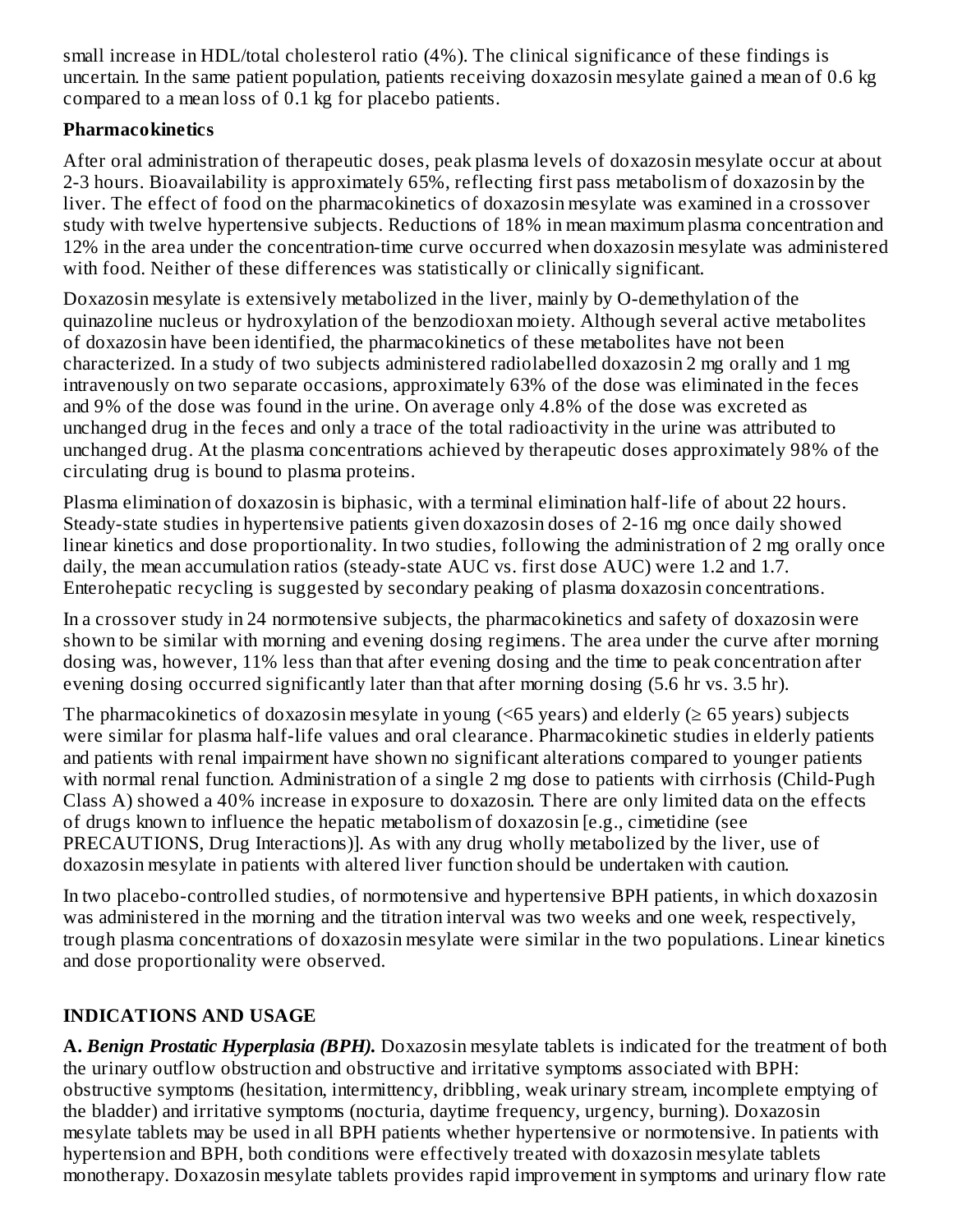small increase in HDL/total cholesterol ratio (4%). The clinical significance of these findings is uncertain. In the same patient population, patients receiving doxazosin mesylate gained a mean of 0.6 kg compared to a mean loss of 0.1 kg for placebo patients.

## **Pharmacokinetics**

After oral administration of therapeutic doses, peak plasma levels of doxazosin mesylate occur at about 2-3 hours. Bioavailability is approximately 65%, reflecting first pass metabolism of doxazosin by the liver. The effect of food on the pharmacokinetics of doxazosin mesylate was examined in a crossover study with twelve hypertensive subjects. Reductions of 18% in mean maximum plasma concentration and 12% in the area under the concentration-time curve occurred when doxazosin mesylate was administered with food. Neither of these differences was statistically or clinically significant.

Doxazosin mesylate is extensively metabolized in the liver, mainly by O-demethylation of the quinazoline nucleus or hydroxylation of the benzodioxan moiety. Although several active metabolites of doxazosin have been identified, the pharmacokinetics of these metabolites have not been characterized. In a study of two subjects administered radiolabelled doxazosin 2 mg orally and 1 mg intravenously on two separate occasions, approximately 63% of the dose was eliminated in the feces and 9% of the dose was found in the urine. On average only 4.8% of the dose was excreted as unchanged drug in the feces and only a trace of the total radioactivity in the urine was attributed to unchanged drug. At the plasma concentrations achieved by therapeutic doses approximately 98% of the circulating drug is bound to plasma proteins.

Plasma elimination of doxazosin is biphasic, with a terminal elimination half-life of about 22 hours. Steady-state studies in hypertensive patients given doxazosin doses of 2-16 mg once daily showed linear kinetics and dose proportionality. In two studies, following the administration of 2 mg orally once daily, the mean accumulation ratios (steady-state AUC vs. first dose AUC) were 1.2 and 1.7. Enterohepatic recycling is suggested by secondary peaking of plasma doxazosin concentrations.

In a crossover study in 24 normotensive subjects, the pharmacokinetics and safety of doxazosin were shown to be similar with morning and evening dosing regimens. The area under the curve after morning dosing was, however, 11% less than that after evening dosing and the time to peak concentration after evening dosing occurred significantly later than that after morning dosing (5.6 hr vs. 3.5 hr).

The pharmacokinetics of doxazosin mesylate in young  $(55 \text{ years})$  and elderly  $(265 \text{ years})$  subjects were similar for plasma half-life values and oral clearance. Pharmacokinetic studies in elderly patients and patients with renal impairment have shown no significant alterations compared to younger patients with normal renal function. Administration of a single 2 mg dose to patients with cirrhosis (Child-Pugh Class A) showed a 40% increase in exposure to doxazosin. There are only limited data on the effects of drugs known to influence the hepatic metabolism of doxazosin [e.g., cimetidine (see PRECAUTIONS, Drug Interactions)]. As with any drug wholly metabolized by the liver, use of doxazosin mesylate in patients with altered liver function should be undertaken with caution.

In two placebo-controlled studies, of normotensive and hypertensive BPH patients, in which doxazosin was administered in the morning and the titration interval was two weeks and one week, respectively, trough plasma concentrations of doxazosin mesylate were similar in the two populations. Linear kinetics and dose proportionality were observed.

# **INDICATIONS AND USAGE**

**A.** *Benign Prostatic Hyperplasia (BPH).* Doxazosin mesylate tablets is indicated for the treatment of both the urinary outflow obstruction and obstructive and irritative symptoms associated with BPH: obstructive symptoms (hesitation, intermittency, dribbling, weak urinary stream, incomplete emptying of the bladder) and irritative symptoms (nocturia, daytime frequency, urgency, burning). Doxazosin mesylate tablets may be used in all BPH patients whether hypertensive or normotensive. In patients with hypertension and BPH, both conditions were effectively treated with doxazosin mesylate tablets monotherapy. Doxazosin mesylate tablets provides rapid improvement in symptoms and urinary flow rate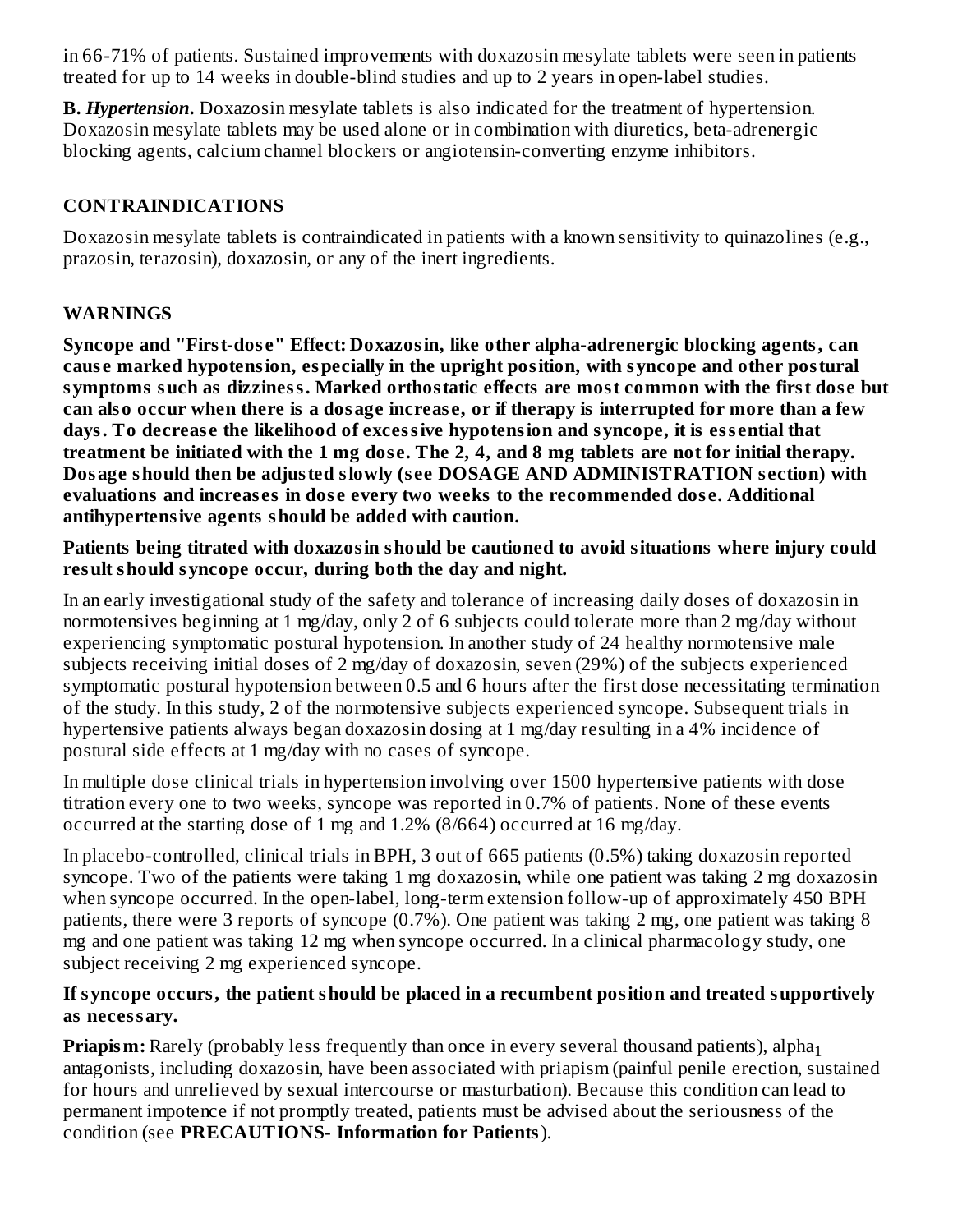in 66-71% of patients. Sustained improvements with doxazosin mesylate tablets were seen in patients treated for up to 14 weeks in double-blind studies and up to 2 years in open-label studies.

**B.** *Hypertension***.** Doxazosin mesylate tablets is also indicated for the treatment of hypertension. Doxazosin mesylate tablets may be used alone or in combination with diuretics, beta-adrenergic blocking agents, calcium channel blockers or angiotensin-converting enzyme inhibitors.

# **CONTRAINDICATIONS**

Doxazosin mesylate tablets is contraindicated in patients with a known sensitivity to quinazolines (e.g., prazosin, terazosin), doxazosin, or any of the inert ingredients.

# **WARNINGS**

**Syncope and "First-dos e" Effect: Doxazosin, like other alpha-adrenergic blocking agents, can caus e marked hypotension, especially in the upright position, with syncope and other postural symptoms such as dizziness. Marked orthostatic effects are most common with the first dos e but** can also occur when there is a dosage increase, or if therapy is interrupted for more than a few **days. To decreas e the likelihood of excessive hypotension and syncope, it is ess ential that** treatment be initiated with the 1 mg dose. The 2, 4, and 8 mg tablets are not for initial therapy. **Dosage should then be adjusted slowly (s ee DOSAGE AND ADMINISTRATION s ection) with evaluations and increas es in dos e every two weeks to the recommended dos e. Additional antihypertensive agents should be added with caution.**

**Patients being titrated with doxazosin should be cautioned to avoid situations where injury could result should syncope occur, during both the day and night.**

In an early investigational study of the safety and tolerance of increasing daily doses of doxazosin in normotensives beginning at 1 mg/day, only 2 of 6 subjects could tolerate more than 2 mg/day without experiencing symptomatic postural hypotension. In another study of 24 healthy normotensive male subjects receiving initial doses of 2 mg/day of doxazosin, seven (29%) of the subjects experienced symptomatic postural hypotension between 0.5 and 6 hours after the first dose necessitating termination of the study. In this study, 2 of the normotensive subjects experienced syncope. Subsequent trials in hypertensive patients always began doxazosin dosing at 1 mg/day resulting in a 4% incidence of postural side effects at 1 mg/day with no cases of syncope.

In multiple dose clinical trials in hypertension involving over 1500 hypertensive patients with dose titration every one to two weeks, syncope was reported in 0.7% of patients. None of these events occurred at the starting dose of 1 mg and 1.2% (8/664) occurred at 16 mg/day.

In placebo-controlled, clinical trials in BPH, 3 out of 665 patients (0.5%) taking doxazosin reported syncope. Two of the patients were taking 1 mg doxazosin, while one patient was taking 2 mg doxazosin when syncope occurred. In the open-label, long-term extension follow-up of approximately 450 BPH patients, there were 3 reports of syncope (0.7%). One patient was taking 2 mg, one patient was taking 8 mg and one patient was taking 12 mg when syncope occurred. In a clinical pharmacology study, one subject receiving 2 mg experienced syncope.

### **If syncope occurs, the patient should be placed in a recumbent position and treated supportively as necessary.**

**Priapism:** Rarely (probably less frequently than once in every several thousand patients), alpha 1antagonists, including doxazosin, have been associated with priapism (painful penile erection, sustained for hours and unrelieved by sexual intercourse or masturbation). Because this condition can lead to permanent impotence if not promptly treated, patients must be advised about the seriousness of the condition (see **PRECAUTIONS- Information for Patients**).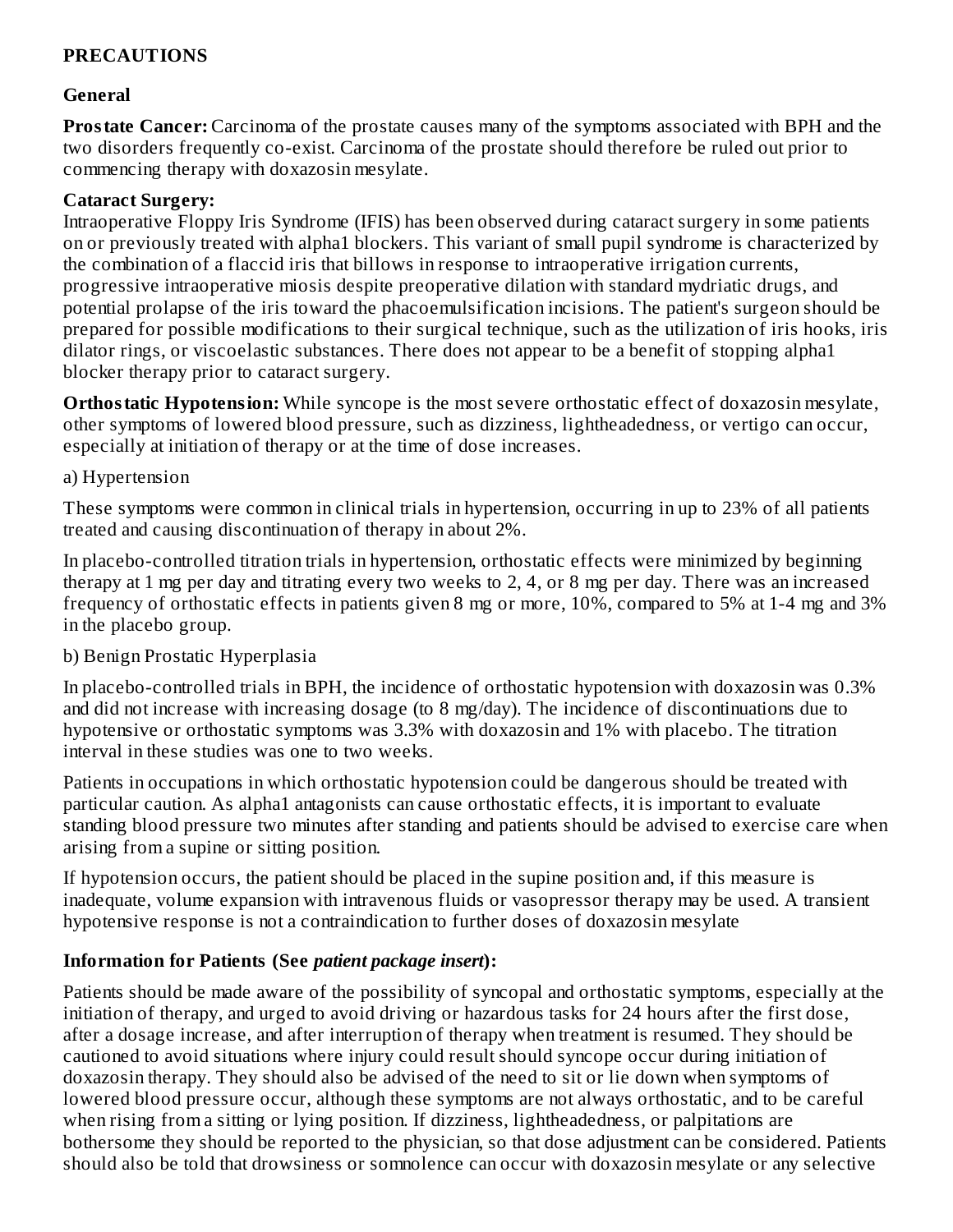# **PRECAUTIONS**

### **General**

**Prostate Cancer:** Carcinoma of the prostate causes many of the symptoms associated with BPH and the two disorders frequently co-exist. Carcinoma of the prostate should therefore be ruled out prior to commencing therapy with doxazosin mesylate.

#### **Cataract Surgery:**

Intraoperative Floppy Iris Syndrome (IFIS) has been observed during cataract surgery in some patients on or previously treated with alpha1 blockers. This variant of small pupil syndrome is characterized by the combination of a flaccid iris that billows in response to intraoperative irrigation currents, progressive intraoperative miosis despite preoperative dilation with standard mydriatic drugs, and potential prolapse of the iris toward the phacoemulsification incisions. The patient's surgeon should be prepared for possible modifications to their surgical technique, such as the utilization of iris hooks, iris dilator rings, or viscoelastic substances. There does not appear to be a benefit of stopping alpha1 blocker therapy prior to cataract surgery.

**Orthostatic Hypotension:** While syncope is the most severe orthostatic effect of doxazosin mesylate, other symptoms of lowered blood pressure, such as dizziness, lightheadedness, or vertigo can occur, especially at initiation of therapy or at the time of dose increases.

### a) Hypertension

These symptoms were common in clinical trials in hypertension, occurring in up to 23% of all patients treated and causing discontinuation of therapy in about 2%.

In placebo-controlled titration trials in hypertension, orthostatic effects were minimized by beginning therapy at 1 mg per day and titrating every two weeks to 2, 4, or 8 mg per day. There was an increased frequency of orthostatic effects in patients given 8 mg or more, 10%, compared to 5% at 1-4 mg and 3% in the placebo group.

## b) Benign Prostatic Hyperplasia

In placebo-controlled trials in BPH, the incidence of orthostatic hypotension with doxazosin was 0.3% and did not increase with increasing dosage (to 8 mg/day). The incidence of discontinuations due to hypotensive or orthostatic symptoms was 3.3% with doxazosin and 1% with placebo. The titration interval in these studies was one to two weeks.

Patients in occupations in which orthostatic hypotension could be dangerous should be treated with particular caution. As alpha1 antagonists can cause orthostatic effects, it is important to evaluate standing blood pressure two minutes after standing and patients should be advised to exercise care when arising from a supine or sitting position.

If hypotension occurs, the patient should be placed in the supine position and, if this measure is inadequate, volume expansion with intravenous fluids or vasopressor therapy may be used. A transient hypotensive response is not a contraindication to further doses of doxazosin mesylate

## **Information for Patients (See** *patient package insert***):**

Patients should be made aware of the possibility of syncopal and orthostatic symptoms, especially at the initiation of therapy, and urged to avoid driving or hazardous tasks for 24 hours after the first dose, after a dosage increase, and after interruption of therapy when treatment is resumed. They should be cautioned to avoid situations where injury could result should syncope occur during initiation of doxazosin therapy. They should also be advised of the need to sit or lie down when symptoms of lowered blood pressure occur, although these symptoms are not always orthostatic, and to be careful when rising from a sitting or lying position. If dizziness, lightheadedness, or palpitations are bothersome they should be reported to the physician, so that dose adjustment can be considered. Patients should also be told that drowsiness or somnolence can occur with doxazosin mesylate or any selective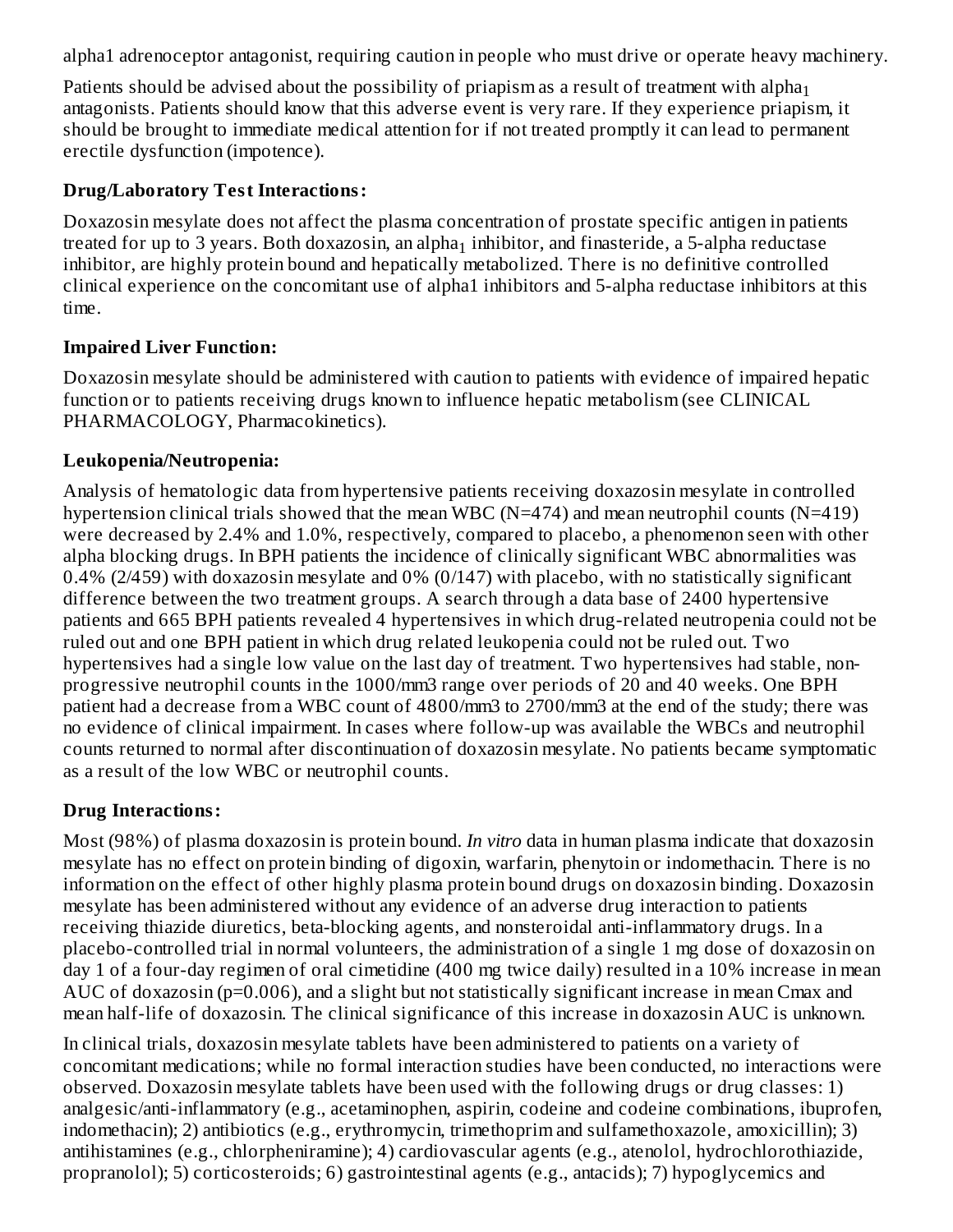alpha1 adrenoceptor antagonist, requiring caution in people who must drive or operate heavy machinery.

Patients should be advised about the possibility of priapism as a result of treatment with alpha $_{\rm 1}$ antagonists. Patients should know that this adverse event is very rare. If they experience priapism, it should be brought to immediate medical attention for if not treated promptly it can lead to permanent erectile dysfunction (impotence).

### **Drug/Laboratory Test Interactions:**

Doxazosin mesylate does not affect the plasma concentration of prostate specific antigen in patients treated for up to 3 years. Both doxazosin, an alpha $_1$  inhibitor, and finasteride, a 5-alpha reductase inhibitor, are highly protein bound and hepatically metabolized. There is no definitive controlled clinical experience on the concomitant use of alpha1 inhibitors and 5-alpha reductase inhibitors at this time.

### **Impaired Liver Function:**

Doxazosin mesylate should be administered with caution to patients with evidence of impaired hepatic function or to patients receiving drugs known to influence hepatic metabolism (see CLINICAL PHARMACOLOGY, Pharmacokinetics).

### **Leukopenia/Neutropenia:**

Analysis of hematologic data from hypertensive patients receiving doxazosin mesylate in controlled hypertension clinical trials showed that the mean WBC (N=474) and mean neutrophil counts (N=419) were decreased by 2.4% and 1.0%, respectively, compared to placebo, a phenomenon seen with other alpha blocking drugs. In BPH patients the incidence of clinically significant WBC abnormalities was 0.4% (2/459) with doxazosin mesylate and 0% (0/147) with placebo, with no statistically significant difference between the two treatment groups. A search through a data base of 2400 hypertensive patients and 665 BPH patients revealed 4 hypertensives in which drug-related neutropenia could not be ruled out and one BPH patient in which drug related leukopenia could not be ruled out. Two hypertensives had a single low value on the last day of treatment. Two hypertensives had stable, nonprogressive neutrophil counts in the 1000/mm3 range over periods of 20 and 40 weeks. One BPH patient had a decrease from a WBC count of 4800/mm3 to 2700/mm3 at the end of the study; there was no evidence of clinical impairment. In cases where follow-up was available the WBCs and neutrophil counts returned to normal after discontinuation of doxazosin mesylate. No patients became symptomatic as a result of the low WBC or neutrophil counts.

## **Drug Interactions:**

Most (98%) of plasma doxazosin is protein bound. *In vitro* data in human plasma indicate that doxazosin mesylate has no effect on protein binding of digoxin, warfarin, phenytoin or indomethacin. There is no information on the effect of other highly plasma protein bound drugs on doxazosin binding. Doxazosin mesylate has been administered without any evidence of an adverse drug interaction to patients receiving thiazide diuretics, beta-blocking agents, and nonsteroidal anti-inflammatory drugs. In a placebo-controlled trial in normal volunteers, the administration of a single 1 mg dose of doxazosin on day 1 of a four-day regimen of oral cimetidine (400 mg twice daily) resulted in a 10% increase in mean AUC of doxazosin (p=0.006), and a slight but not statistically significant increase in mean Cmax and mean half-life of doxazosin. The clinical significance of this increase in doxazosin AUC is unknown.

In clinical trials, doxazosin mesylate tablets have been administered to patients on a variety of concomitant medications; while no formal interaction studies have been conducted, no interactions were observed. Doxazosin mesylate tablets have been used with the following drugs or drug classes: 1) analgesic/anti-inflammatory (e.g., acetaminophen, aspirin, codeine and codeine combinations, ibuprofen, indomethacin); 2) antibiotics (e.g., erythromycin, trimethoprim and sulfamethoxazole, amoxicillin); 3) antihistamines (e.g., chlorpheniramine); 4) cardiovascular agents (e.g., atenolol, hydrochlorothiazide, propranolol); 5) corticosteroids; 6) gastrointestinal agents (e.g., antacids); 7) hypoglycemics and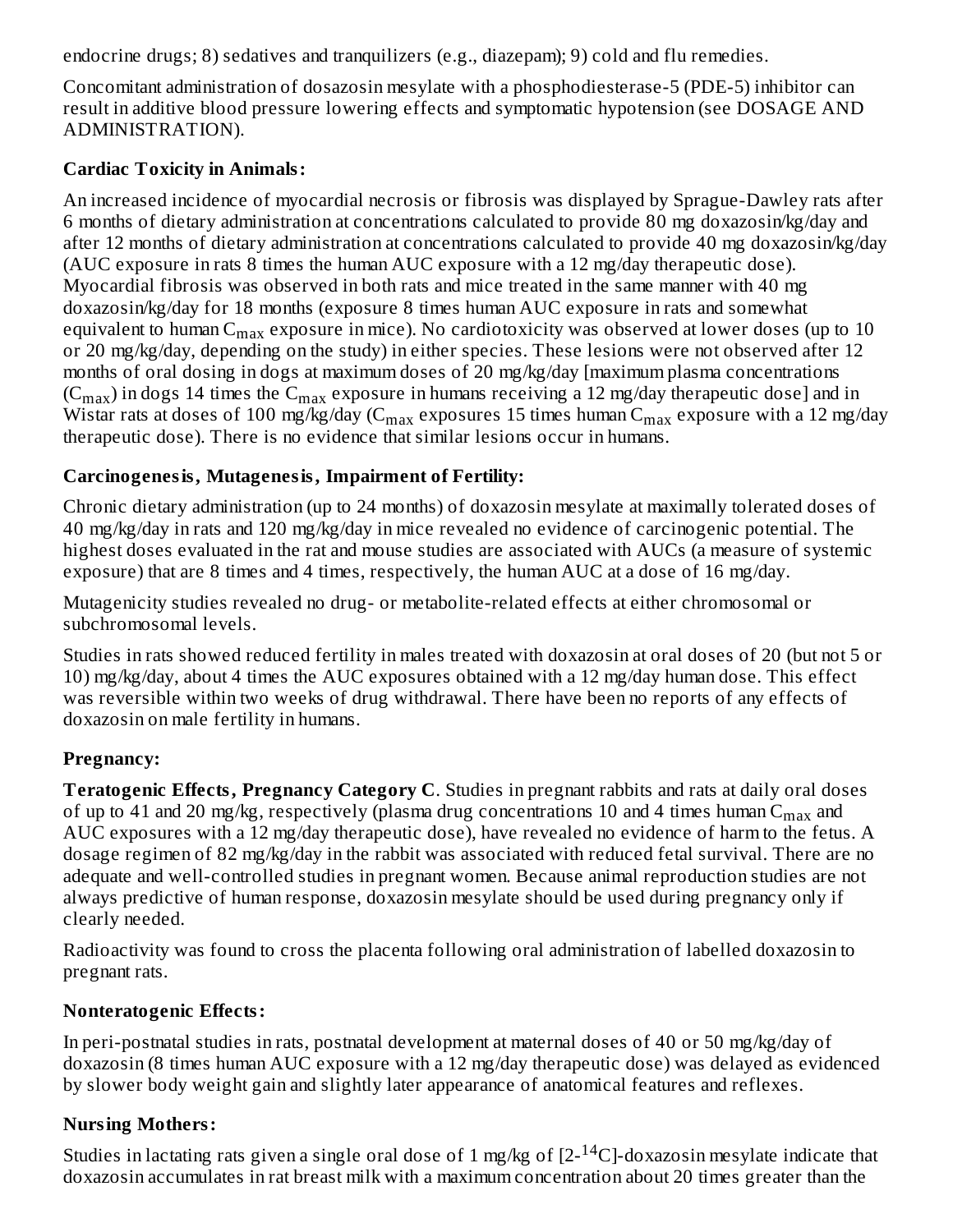endocrine drugs; 8) sedatives and tranquilizers (e.g., diazepam); 9) cold and flu remedies.

Concomitant administration of dosazosin mesylate with a phosphodiesterase-5 (PDE-5) inhibitor can result in additive blood pressure lowering effects and symptomatic hypotension (see DOSAGE AND ADMINISTRATION).

# **Cardiac Toxicity in Animals:**

An increased incidence of myocardial necrosis or fibrosis was displayed by Sprague-Dawley rats after 6 months of dietary administration at concentrations calculated to provide 80 mg doxazosin/kg/day and after 12 months of dietary administration at concentrations calculated to provide 40 mg doxazosin/kg/day (AUC exposure in rats 8 times the human AUC exposure with a 12 mg/day therapeutic dose). Myocardial fibrosis was observed in both rats and mice treated in the same manner with 40 mg doxazosin/kg/day for 18 months (exposure 8 times human AUC exposure in rats and somewhat equivalent to human  $\rm{C_{max}}$  exposure in mice). No cardiotoxicity was observed at lower doses (up to  $10$ or 20 mg/kg/day, depending on the study) in either species. These lesions were not observed after 12 months of oral dosing in dogs at maximum doses of 20 mg/kg/day [maximum plasma concentrations (C $_{\rm max}$ ) in dogs 14 times the C $_{\rm max}$  exposure in humans receiving a 12 mg/day therapeutic dose] and in Wistar rats at doses of 100 mg/kg/day (C $_{\rm max}$  exposures 15 times human C $_{\rm max}$  exposure with a 12 mg/day therapeutic dose). There is no evidence that similar lesions occur in humans.

# **Carcinogenesis, Mutagenesis, Impairment of Fertility:**

Chronic dietary administration (up to 24 months) of doxazosin mesylate at maximally tolerated doses of 40 mg/kg/day in rats and 120 mg/kg/day in mice revealed no evidence of carcinogenic potential. The highest doses evaluated in the rat and mouse studies are associated with AUCs (a measure of systemic exposure) that are 8 times and 4 times, respectively, the human AUC at a dose of 16 mg/day.

Mutagenicity studies revealed no drug- or metabolite-related effects at either chromosomal or subchromosomal levels.

Studies in rats showed reduced fertility in males treated with doxazosin at oral doses of 20 (but not 5 or 10) mg/kg/day, about 4 times the AUC exposures obtained with a 12 mg/day human dose. This effect was reversible within two weeks of drug withdrawal. There have been no reports of any effects of doxazosin on male fertility in humans.

# **Pregnancy:**

**Teratogenic Effects, Pregnancy Category C**. Studies in pregnant rabbits and rats at daily oral doses of up to 41 and 20 mg/kg, respectively (plasma drug concentrations 10 and 4 times human  $C_{\rm max}$  and AUC exposures with a 12 mg/day therapeutic dose), have revealed no evidence of harm to the fetus. A dosage regimen of 82 mg/kg/day in the rabbit was associated with reduced fetal survival. There are no adequate and well-controlled studies in pregnant women. Because animal reproduction studies are not always predictive of human response, doxazosin mesylate should be used during pregnancy only if clearly needed.

Radioactivity was found to cross the placenta following oral administration of labelled doxazosin to pregnant rats.

# **Nonteratogenic Effects:**

In peri-postnatal studies in rats, postnatal development at maternal doses of 40 or 50 mg/kg/day of doxazosin (8 times human AUC exposure with a 12 mg/day therapeutic dose) was delayed as evidenced by slower body weight gain and slightly later appearance of anatomical features and reflexes.

# **Nursing Mothers:**

Studies in lactating rats given a single oral dose of 1 mg/kg of  $[2-^{14}C]$ -doxazosin mesylate indicate that doxazosin accumulates in rat breast milk with a maximum concentration about 20 times greater than the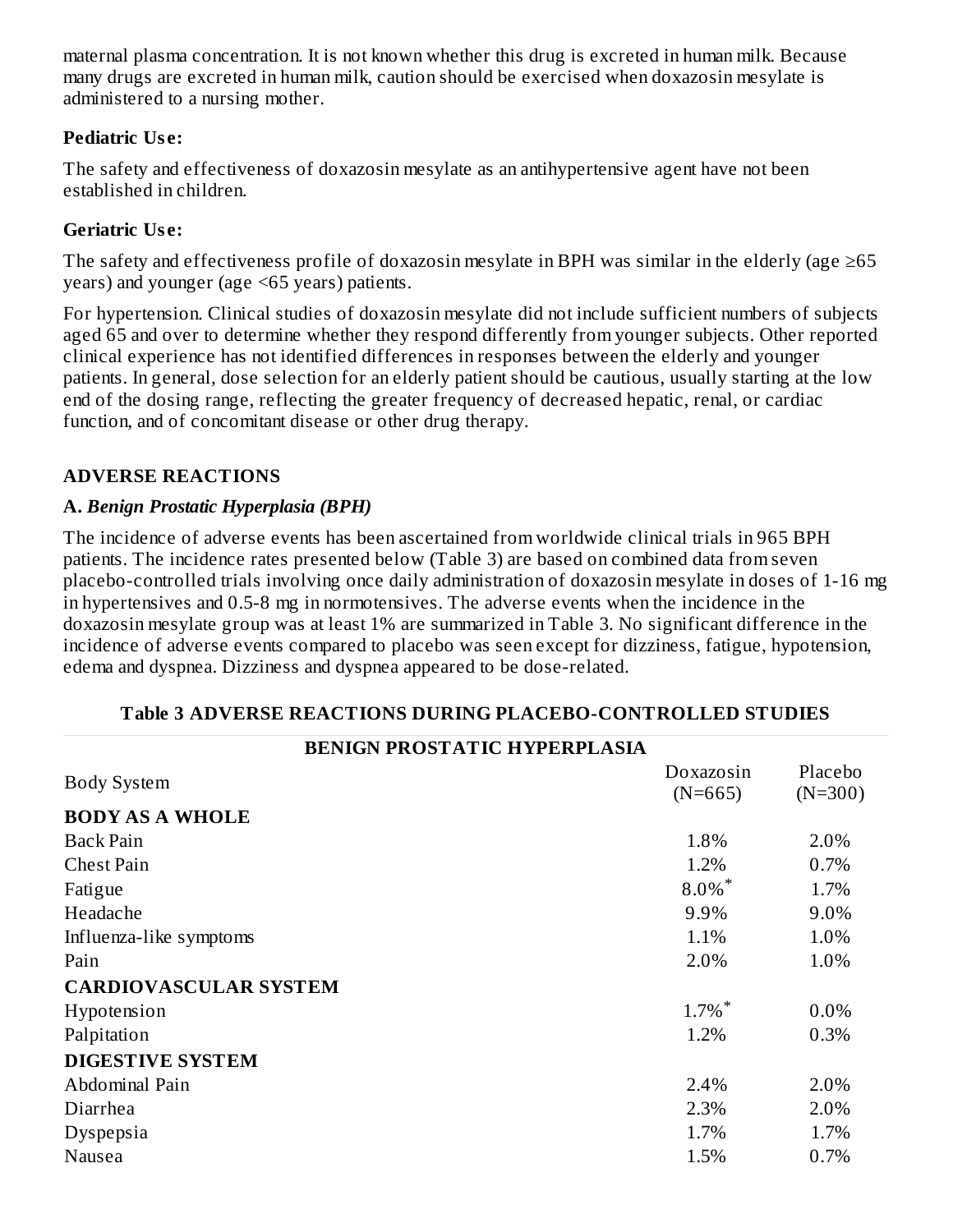maternal plasma concentration. It is not known whether this drug is excreted in human milk. Because many drugs are excreted in human milk, caution should be exercised when doxazosin mesylate is administered to a nursing mother.

# **Pediatric Us e:**

The safety and effectiveness of doxazosin mesylate as an antihypertensive agent have not been established in children.

# **Geriatric Us e:**

The safety and effectiveness profile of doxazosin mesylate in BPH was similar in the elderly (age  $\geq 65$ years) and younger (age <65 years) patients.

For hypertension. Clinical studies of doxazosin mesylate did not include sufficient numbers of subjects aged 65 and over to determine whether they respond differently from younger subjects. Other reported clinical experience has not identified differences in responses between the elderly and younger patients. In general, dose selection for an elderly patient should be cautious, usually starting at the low end of the dosing range, reflecting the greater frequency of decreased hepatic, renal, or cardiac function, and of concomitant disease or other drug therapy.

# **ADVERSE REACTIONS**

# **A.** *Benign Prostatic Hyperplasia (BPH)*

The incidence of adverse events has been ascertained from worldwide clinical trials in 965 BPH patients. The incidence rates presented below (Table 3) are based on combined data from seven placebo-controlled trials involving once daily administration of doxazosin mesylate in doses of 1-16 mg in hypertensives and 0.5-8 mg in normotensives. The adverse events when the incidence in the doxazosin mesylate group was at least 1% are summarized in Table 3. No significant difference in the incidence of adverse events compared to placebo was seen except for dizziness, fatigue, hypotension, edema and dyspnea. Dizziness and dyspnea appeared to be dose-related.

| <b>BENIGN PROSTATIC HYPERPLASIA</b> |                        |                      |  |  |  |  |  |
|-------------------------------------|------------------------|----------------------|--|--|--|--|--|
| <b>Body System</b>                  | Doxazosin<br>$(N=665)$ | Placebo<br>$(N=300)$ |  |  |  |  |  |
| <b>BODY AS A WHOLE</b>              |                        |                      |  |  |  |  |  |
| <b>Back Pain</b>                    | 1.8%                   | 2.0%                 |  |  |  |  |  |
| <b>Chest Pain</b>                   | 1.2%                   | 0.7%                 |  |  |  |  |  |
| Fatigue                             | $8.0\%$ *              | 1.7%                 |  |  |  |  |  |
| Headache                            | 9.9%                   | 9.0%                 |  |  |  |  |  |
| Influenza-like symptoms             | 1.1%                   | 1.0%                 |  |  |  |  |  |
| Pain                                | 2.0%                   | 1.0%                 |  |  |  |  |  |
| <b>CARDIOVASCULAR SYSTEM</b>        |                        |                      |  |  |  |  |  |
| Hypotension                         | $1.7\%$ <sup>*</sup>   | 0.0%                 |  |  |  |  |  |
| Palpitation                         | 1.2%                   | 0.3%                 |  |  |  |  |  |
| <b>DIGESTIVE SYSTEM</b>             |                        |                      |  |  |  |  |  |
| Abdominal Pain                      | 2.4%                   | 2.0%                 |  |  |  |  |  |
| Diarrhea                            | 2.3%                   | 2.0%                 |  |  |  |  |  |
| Dyspepsia                           | 1.7%                   | 1.7%                 |  |  |  |  |  |
| Nausea                              | 1.5%                   | 0.7%                 |  |  |  |  |  |
|                                     |                        |                      |  |  |  |  |  |

# **Table 3 ADVERSE REACTIONS DURING PLACEBO-CONTROLLED STUDIES**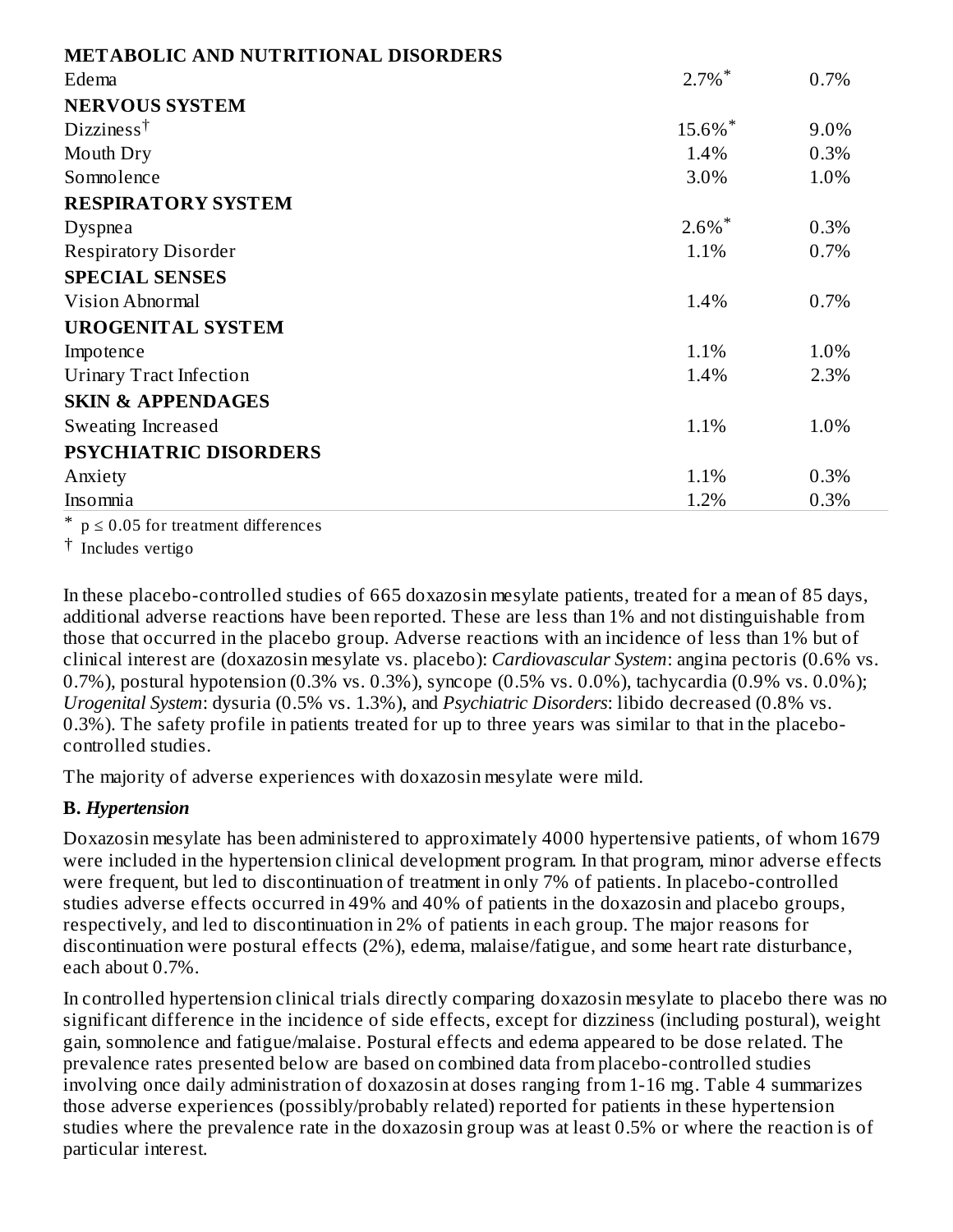| <b>METABOLIC AND NUTRITIONAL DISORDERS</b> |                      |      |
|--------------------------------------------|----------------------|------|
| Edema                                      | $2.7\%$ <sup>*</sup> | 0.7% |
| <b>NERVOUS SYSTEM</b>                      |                      |      |
| Dizzines <sup>†</sup>                      | 15.6%*               | 9.0% |
| Mouth Dry                                  | 1.4%                 | 0.3% |
| Somnolence                                 | 3.0%                 | 1.0% |
| <b>RESPIRATORY SYSTEM</b>                  |                      |      |
| Dyspnea                                    | $2.6\%$ <sup>*</sup> | 0.3% |
| <b>Respiratory Disorder</b>                | 1.1%                 | 0.7% |
| <b>SPECIAL SENSES</b>                      |                      |      |
| Vision Abnormal                            | 1.4%                 | 0.7% |
| <b>UROGENITAL SYSTEM</b>                   |                      |      |
| Impotence                                  | 1.1%                 | 1.0% |
| <b>Urinary Tract Infection</b>             | 1.4%                 | 2.3% |
| <b>SKIN &amp; APPENDAGES</b>               |                      |      |
| Sweating Increased                         | 1.1%                 | 1.0% |
| <b>PSYCHIATRIC DISORDERS</b>               |                      |      |
| Anxiety                                    | 1.1%                 | 0.3% |
| Insomnia                                   | 1.2%                 | 0.3% |

 $*$  p  $\leq$  0.05 for treatment differences

† Includes vertigo

In these placebo-controlled studies of 665 doxazosin mesylate patients, treated for a mean of 85 days, additional adverse reactions have been reported. These are less than 1% and not distinguishable from those that occurred in the placebo group. Adverse reactions with an incidence of less than 1% but of clinical interest are (doxazosin mesylate vs. placebo): *Cardiovascular System*: angina pectoris (0.6% vs. 0.7%), postural hypotension (0.3% vs. 0.3%), syncope (0.5% vs. 0.0%), tachycardia (0.9% vs. 0.0%); *Urogenital System*: dysuria (0.5% vs. 1.3%), and *Psychiatric Disorders*: libido decreased (0.8% vs. 0.3%). The safety profile in patients treated for up to three years was similar to that in the placebocontrolled studies.

The majority of adverse experiences with doxazosin mesylate were mild.

## **B.** *Hypertension*

Doxazosin mesylate has been administered to approximately 4000 hypertensive patients, of whom 1679 were included in the hypertension clinical development program. In that program, minor adverse effects were frequent, but led to discontinuation of treatment in only 7% of patients. In placebo-controlled studies adverse effects occurred in 49% and 40% of patients in the doxazosin and placebo groups, respectively, and led to discontinuation in 2% of patients in each group. The major reasons for discontinuation were postural effects (2%), edema, malaise/fatigue, and some heart rate disturbance, each about 0.7%.

In controlled hypertension clinical trials directly comparing doxazosin mesylate to placebo there was no significant difference in the incidence of side effects, except for dizziness (including postural), weight gain, somnolence and fatigue/malaise. Postural effects and edema appeared to be dose related. The prevalence rates presented below are based on combined data from placebo-controlled studies involving once daily administration of doxazosin at doses ranging from 1-16 mg. Table 4 summarizes those adverse experiences (possibly/probably related) reported for patients in these hypertension studies where the prevalence rate in the doxazosin group was at least 0.5% or where the reaction is of particular interest.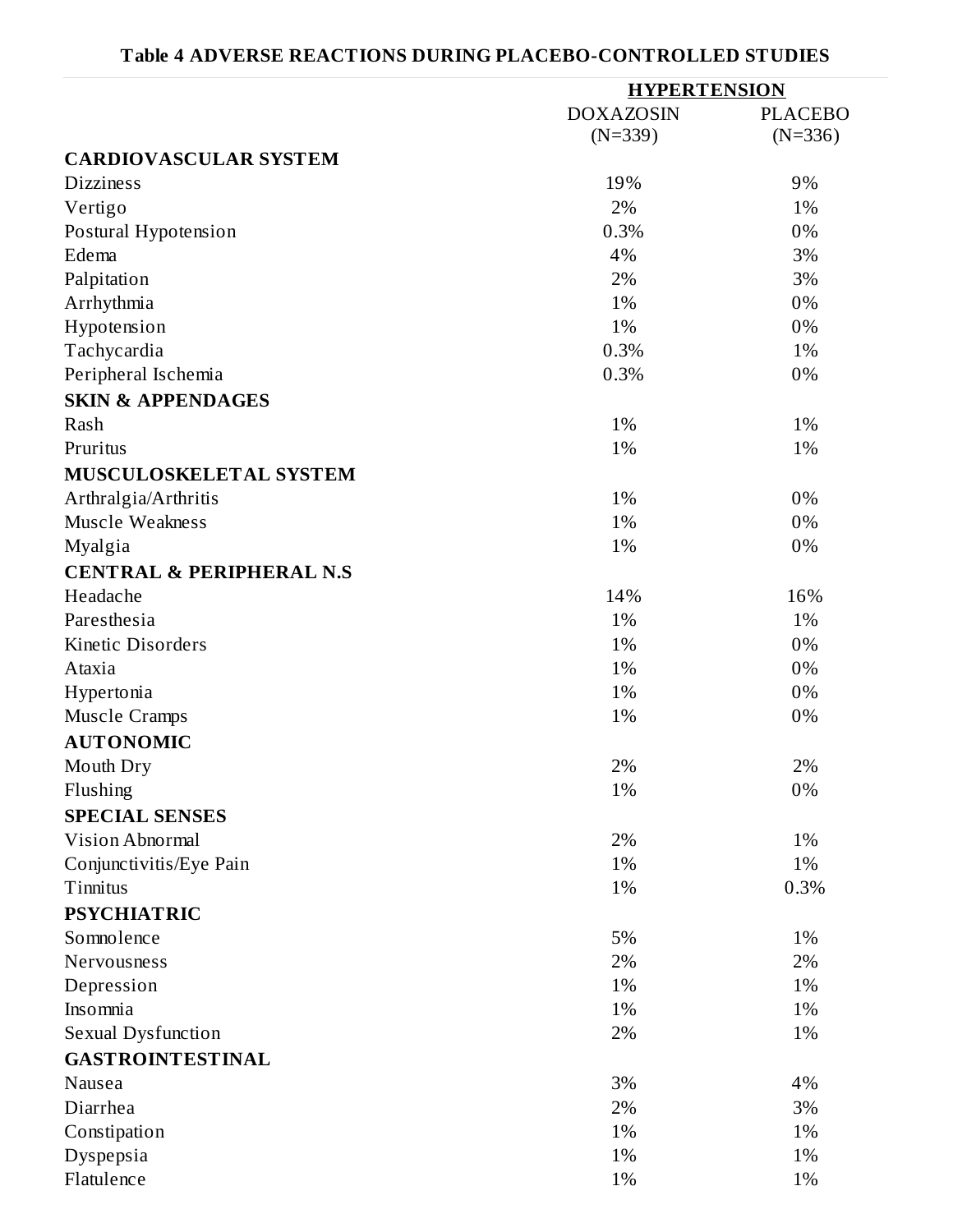# **Table 4 ADVERSE REACTIONS DURING PLACEBO-CONTROLLED STUDIES**

|                                     | <b>HYPERTENSION</b> |                |  |
|-------------------------------------|---------------------|----------------|--|
|                                     | <b>DOXAZOSIN</b>    | <b>PLACEBO</b> |  |
|                                     | $(N=339)$           | $(N=336)$      |  |
| <b>CARDIOVASCULAR SYSTEM</b>        |                     |                |  |
| <b>Dizziness</b>                    | 19%                 | 9%             |  |
| Vertigo                             | 2%                  | 1%             |  |
| Postural Hypotension                | 0.3%                | 0%             |  |
| Edema                               | 4%                  | 3%             |  |
| Palpitation                         | 2%                  | 3%             |  |
| Arrhythmia                          | 1%                  | 0%             |  |
| Hypotension                         | 1%                  | 0%             |  |
| Tachycardia                         | 0.3%                | 1%             |  |
| Peripheral Ischemia                 | 0.3%                | 0%             |  |
| <b>SKIN &amp; APPENDAGES</b>        |                     |                |  |
| Rash                                | 1%                  | 1%             |  |
| Pruritus                            | 1%                  | 1%             |  |
| MUSCULOSKELETAL SYSTEM              |                     |                |  |
| Arthralgia/Arthritis                | 1%                  | 0%             |  |
| Muscle Weakness                     | 1%                  | 0%             |  |
| Myalgia                             | 1%                  | 0%             |  |
| <b>CENTRAL &amp; PERIPHERAL N.S</b> |                     |                |  |
| Headache                            | 14%                 | 16%            |  |
| Paresthesia                         | 1%                  | 1%             |  |
| Kinetic Disorders                   | 1%                  | 0%             |  |
| Ataxia                              | 1%                  | 0%             |  |
| Hypertonia                          | 1%                  | 0%             |  |
| <b>Muscle Cramps</b>                | 1%                  | 0%             |  |
| <b>AUTONOMIC</b>                    |                     |                |  |
| Mouth Dry                           | 2%                  | 2%             |  |
| Flushing                            | 1%                  | 0%             |  |
| <b>SPECIAL SENSES</b>               |                     |                |  |
| Vision Abnormal                     | 2%                  | 1%             |  |
| Conjunctivitis/Eye Pain             | 1%                  | 1%             |  |
| Tinnitus                            | 1%                  | 0.3%           |  |
| <b>PSYCHIATRIC</b>                  |                     |                |  |
| Somnolence                          | 5%                  | 1%             |  |
| Nervousness                         | 2%                  | 2%             |  |
| Depression                          | 1%                  | 1%             |  |
| Insomnia                            | 1%                  | 1%             |  |
| Sexual Dysfunction                  | 2%                  | 1%             |  |
| <b>GASTROINTESTINAL</b>             |                     |                |  |
| Nausea                              | 3%                  | 4%             |  |
| Diarrhea                            | 2%                  | 3%             |  |
|                                     | 1%                  | 1%             |  |
| Constipation                        | 1%                  | 1%             |  |
| Dyspepsia<br>Flatulence             | 1%                  | 1%             |  |
|                                     |                     |                |  |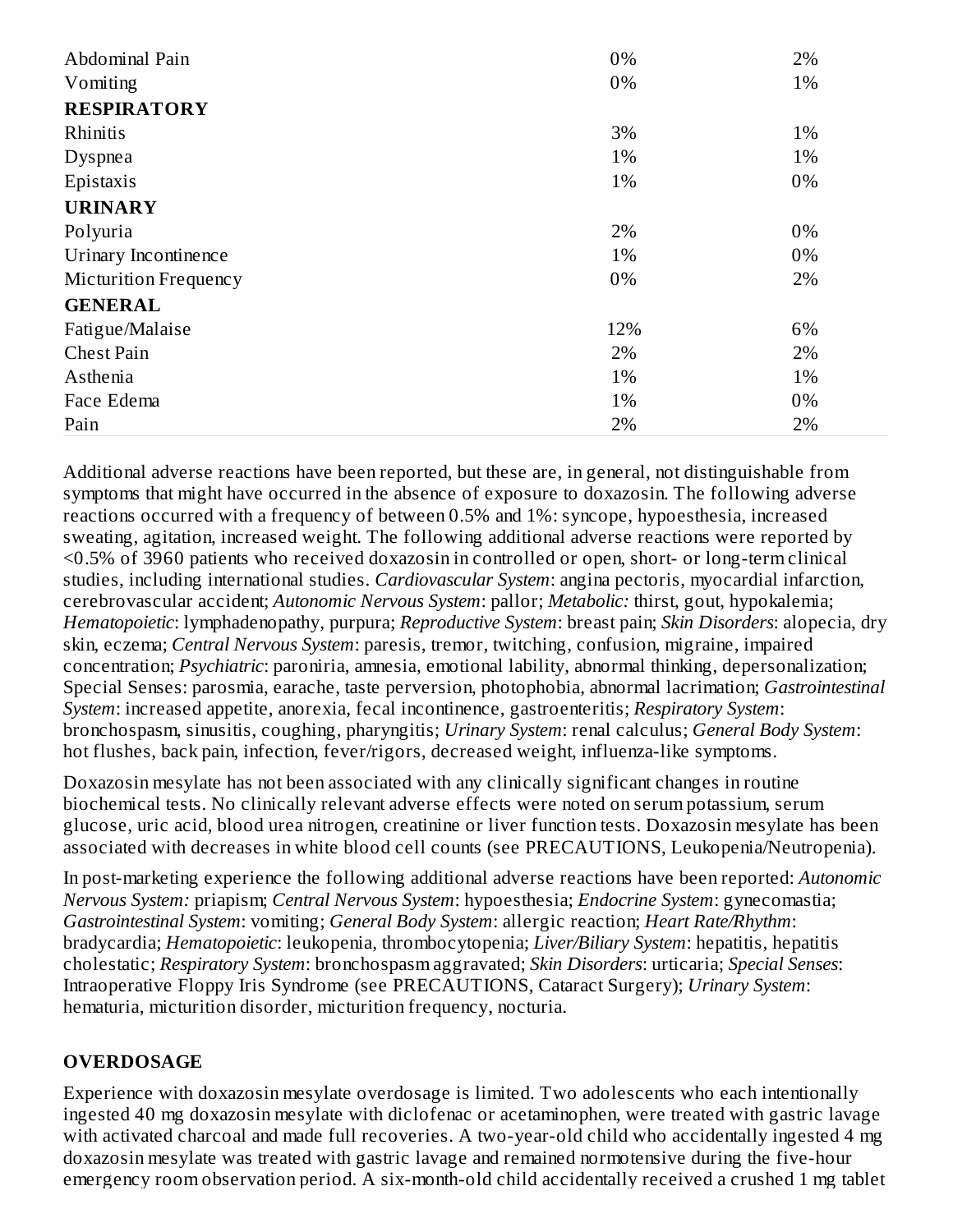| Abdominal Pain        | 0%    | 2% |
|-----------------------|-------|----|
| Vomiting              | 0%    | 1% |
| <b>RESPIRATORY</b>    |       |    |
| Rhinitis              | 3%    | 1% |
| <b>Dyspnea</b>        | 1%    | 1% |
| Epistaxis             | 1%    | 0% |
| <b>URINARY</b>        |       |    |
| Polyuria              | 2%    | 0% |
| Urinary Incontinence  | 1%    | 0% |
| Micturition Frequency | $0\%$ | 2% |
| <b>GENERAL</b>        |       |    |
| Fatigue/Malaise       | 12%   | 6% |
| <b>Chest Pain</b>     | 2%    | 2% |
| Asthenia              | 1%    | 1% |
| Face Edema            | 1%    | 0% |
| Pain                  | 2%    | 2% |

Additional adverse reactions have been reported, but these are, in general, not distinguishable from symptoms that might have occurred in the absence of exposure to doxazosin. The following adverse reactions occurred with a frequency of between 0.5% and 1%: syncope, hypoesthesia, increased sweating, agitation, increased weight. The following additional adverse reactions were reported by <0.5% of 3960 patients who received doxazosin in controlled or open, short- or long-term clinical studies, including international studies. *Cardiovascular System*: angina pectoris, myocardial infarction, cerebrovascular accident; *Autonomic Nervous System*: pallor; *Metabolic:* thirst, gout, hypokalemia; *Hematopoietic*: lymphadenopathy, purpura; *Reproductive System*: breast pain; *Skin Disorders*: alopecia, dry skin, eczema; *Central Nervous System*: paresis, tremor, twitching, confusion, migraine, impaired concentration; *Psychiatric*: paroniria, amnesia, emotional lability, abnormal thinking, depersonalization; Special Senses: parosmia, earache, taste perversion, photophobia, abnormal lacrimation; *Gastrointestinal System*: increased appetite, anorexia, fecal incontinence, gastroenteritis; *Respiratory System*: bronchospasm, sinusitis, coughing, pharyngitis; *Urinary System*: renal calculus; *General Body System*: hot flushes, back pain, infection, fever/rigors, decreased weight, influenza-like symptoms.

Doxazosin mesylate has not been associated with any clinically significant changes in routine biochemical tests. No clinically relevant adverse effects were noted on serum potassium, serum glucose, uric acid, blood urea nitrogen, creatinine or liver function tests. Doxazosin mesylate has been associated with decreases in white blood cell counts (see PRECAUTIONS, Leukopenia/Neutropenia).

In post-marketing experience the following additional adverse reactions have been reported: *Autonomic Nervous System:* priapism; *Central Nervous System*: hypoesthesia; *Endocrine System*: gynecomastia; *Gastrointestinal System*: vomiting; *General Body System*: allergic reaction; *Heart Rate/Rhythm*: bradycardia; *Hematopoietic*: leukopenia, thrombocytopenia; *Liver/Biliary System*: hepatitis, hepatitis cholestatic; *Respiratory System*: bronchospasm aggravated; *Skin Disorders*: urticaria; *Special Senses*: Intraoperative Floppy Iris Syndrome (see PRECAUTIONS, Cataract Surgery); *Urinary System*: hematuria, micturition disorder, micturition frequency, nocturia.

## **OVERDOSAGE**

Experience with doxazosin mesylate overdosage is limited. Two adolescents who each intentionally ingested 40 mg doxazosin mesylate with diclofenac or acetaminophen, were treated with gastric lavage with activated charcoal and made full recoveries. A two-year-old child who accidentally ingested 4 mg doxazosin mesylate was treated with gastric lavage and remained normotensive during the five-hour emergency room observation period. A six-month-old child accidentally received a crushed 1 mg tablet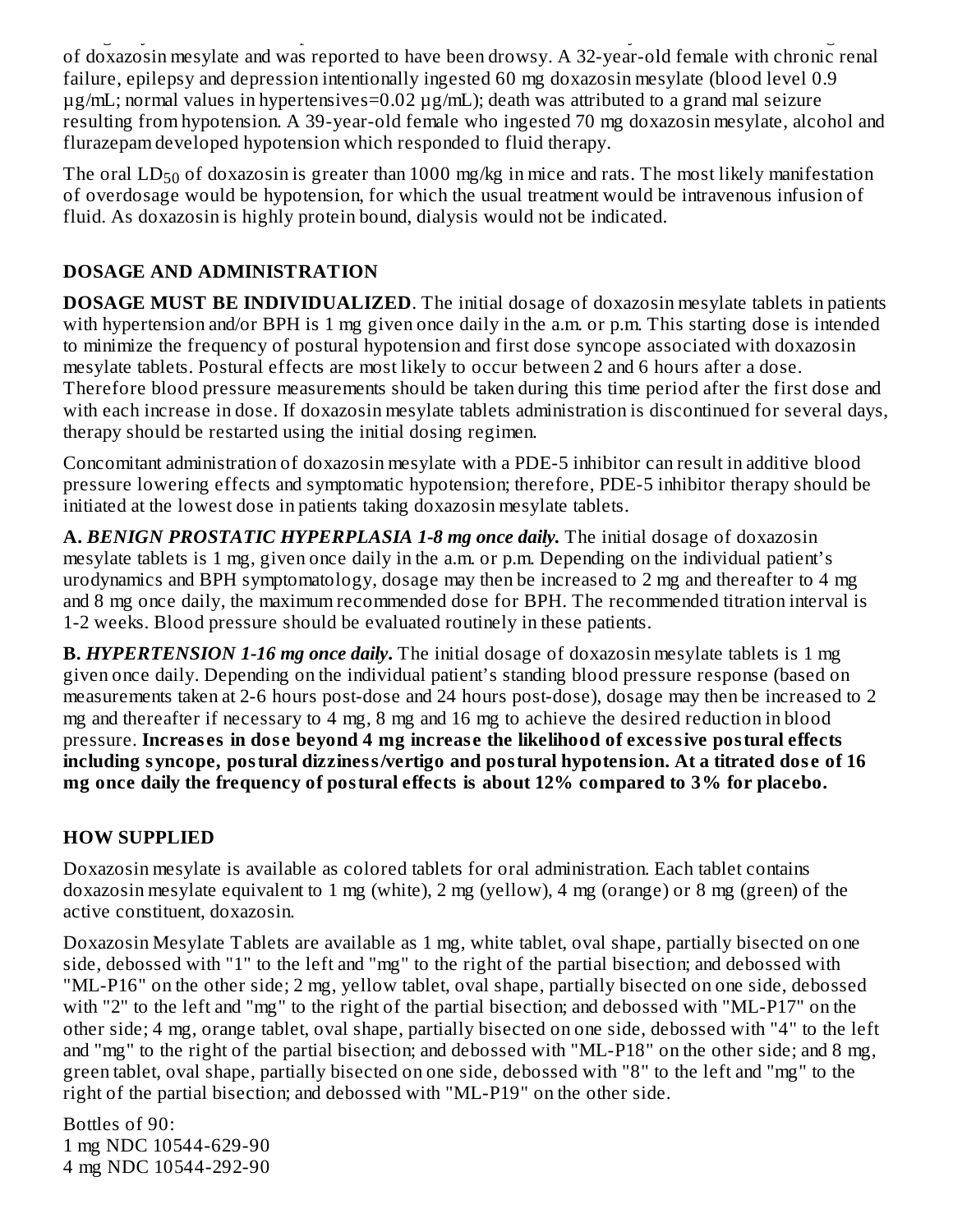emergency room observation period. A six-month-old child accidentally received a crushed 1 mg tablet of doxazosin mesylate and was reported to have been drowsy. A 32-year-old female with chronic renal failure, epilepsy and depression intentionally ingested 60 mg doxazosin mesylate (blood level 0.9 µg/mL; normal values in hypertensives=0.02 µg/mL); death was attributed to a grand mal seizure resulting from hypotension. A 39-year-old female who ingested 70 mg doxazosin mesylate, alcohol and flurazepam developed hypotension which responded to fluid therapy.

The oral  $\mathrm{LD}_{50}$  of doxazosin is greater than 1000 mg/kg in mice and rats. The most likely manifestation of overdosage would be hypotension, for which the usual treatment would be intravenous infusion of fluid. As doxazosin is highly protein bound, dialysis would not be indicated.

# **DOSAGE AND ADMINISTRATION**

**DOSAGE MUST BE INDIVIDUALIZED**. The initial dosage of doxazosin mesylate tablets in patients with hypertension and/or BPH is 1 mg given once daily in the a.m. or p.m. This starting dose is intended to minimize the frequency of postural hypotension and first dose syncope associated with doxazosin mesylate tablets. Postural effects are most likely to occur between 2 and 6 hours after a dose. Therefore blood pressure measurements should be taken during this time period after the first dose and with each increase in dose. If doxazosin mesylate tablets administration is discontinued for several days, therapy should be restarted using the initial dosing regimen.

Concomitant administration of doxazosin mesylate with a PDE-5 inhibitor can result in additive blood pressure lowering effects and symptomatic hypotension; therefore, PDE-5 inhibitor therapy should be initiated at the lowest dose in patients taking doxazosin mesylate tablets.

**A.** *BENIGN PROSTATIC HYPERPLASIA 1-8 mg once daily.* The initial dosage of doxazosin mesylate tablets is 1 mg, given once daily in the a.m. or p.m. Depending on the individual patient's urodynamics and BPH symptomatology, dosage may then be increased to 2 mg and thereafter to 4 mg and 8 mg once daily, the maximum recommended dose for BPH. The recommended titration interval is 1-2 weeks. Blood pressure should be evaluated routinely in these patients.

**B.** *HYPERTENSION 1-16 mg once daily***.** The initial dosage of doxazosin mesylate tablets is 1 mg given once daily. Depending on the individual patient's standing blood pressure response (based on measurements taken at 2-6 hours post-dose and 24 hours post-dose), dosage may then be increased to 2 mg and thereafter if necessary to 4 mg, 8 mg and 16 mg to achieve the desired reduction in blood pressure. **Increas es in dos e beyond 4 mg increas e the likelihood of excessive postural effects including syncope, postural dizziness/vertigo and postural hypotension. At a titrated dos e of 16 mg once daily the frequency of postural effects is about 12% compared to 3% for placebo.**

# **HOW SUPPLIED**

Doxazosin mesylate is available as colored tablets for oral administration. Each tablet contains doxazosin mesylate equivalent to 1 mg (white), 2 mg (yellow), 4 mg (orange) or 8 mg (green) of the active constituent, doxazosin.

Doxazosin Mesylate Tablets are available as 1 mg, white tablet, oval shape, partially bisected on one side, debossed with "1" to the left and "mg" to the right of the partial bisection; and debossed with "ML-P16" on the other side; 2 mg, yellow tablet, oval shape, partially bisected on one side, debossed with "2" to the left and "mg" to the right of the partial bisection; and debossed with "ML-P17" on the other side; 4 mg, orange tablet, oval shape, partially bisected on one side, debossed with "4" to the left and "mg" to the right of the partial bisection; and debossed with "ML-P18" on the other side; and 8 mg, green tablet, oval shape, partially bisected on one side, debossed with "8" to the left and "mg" to the right of the partial bisection; and debossed with "ML-P19" on the other side.

Bottles of 90: 1 mg NDC 10544-629-90 4 mg NDC 10544-292-90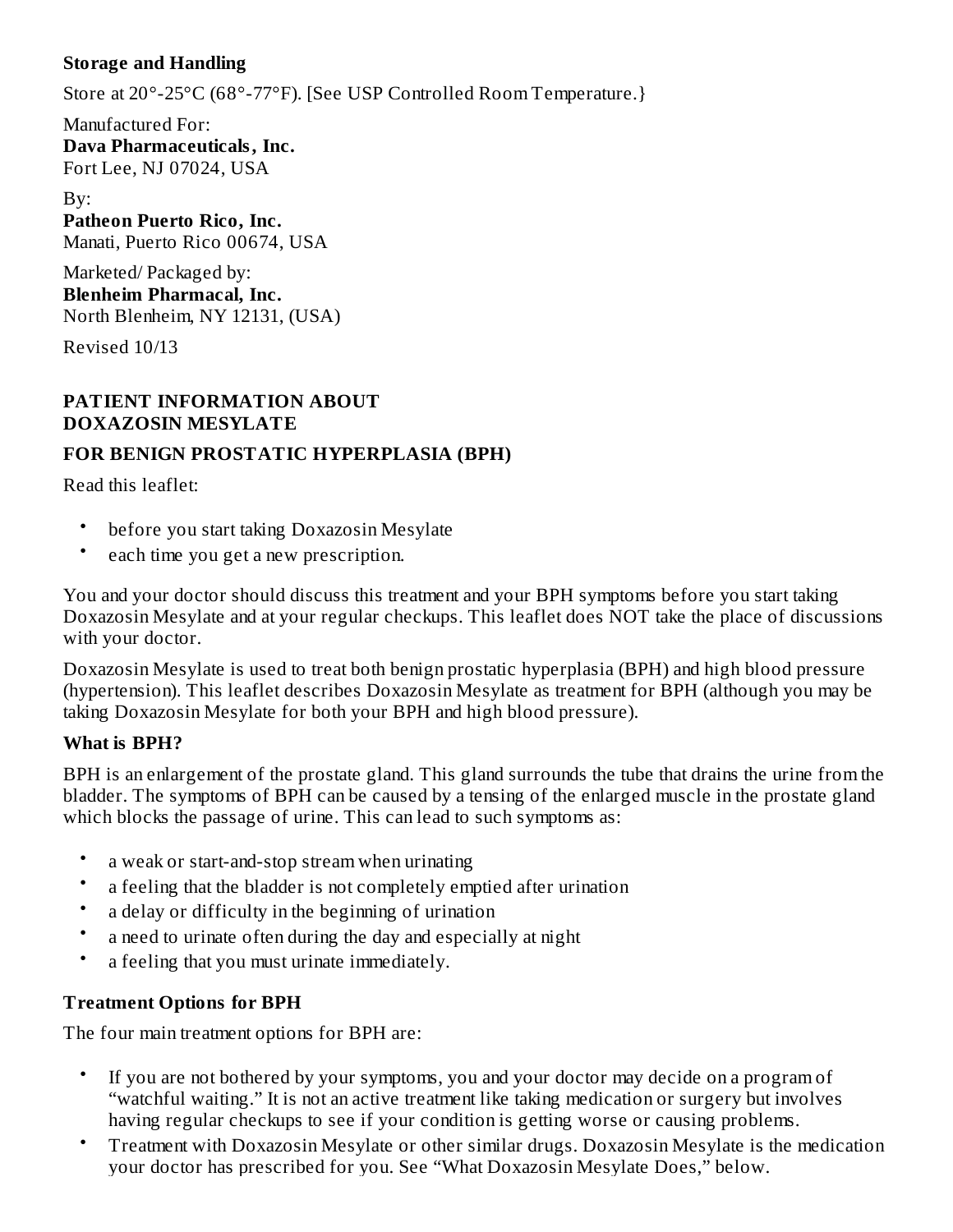## **Storage and Handling**

Store at 20°-25°C (68°-77°F). [See USP Controlled Room Temperature.}

Manufactured For: **Dava Pharmaceuticals, Inc.** Fort Lee, NJ 07024, USA

By: **Patheon Puerto Rico, Inc.** Manati, Puerto Rico 00674, USA

Marketed/ Packaged by: **Blenheim Pharmacal, Inc.** North Blenheim, NY 12131, (USA)

Revised 10/13

# **PATIENT INFORMATION ABOUT DOXAZOSIN MESYLATE**

# **FOR BENIGN PROSTATIC HYPERPLASIA (BPH)**

Read this leaflet:

- before you start taking Doxazosin Mesylate
- each time you get a new prescription.

You and your doctor should discuss this treatment and your BPH symptoms before you start taking Doxazosin Mesylate and at your regular checkups. This leaflet does NOT take the place of discussions with your doctor.

Doxazosin Mesylate is used to treat both benign prostatic hyperplasia (BPH) and high blood pressure (hypertension). This leaflet describes Doxazosin Mesylate as treatment for BPH (although you may be taking Doxazosin Mesylate for both your BPH and high blood pressure).

# **What is BPH?**

BPH is an enlargement of the prostate gland. This gland surrounds the tube that drains the urine from the bladder. The symptoms of BPH can be caused by a tensing of the enlarged muscle in the prostate gland which blocks the passage of urine. This can lead to such symptoms as:

- a weak or start-and-stop stream when urinating
- a feeling that the bladder is not completely emptied after urination
- a delay or difficulty in the beginning of urination
- a need to urinate often during the day and especially at night
- a feeling that you must urinate immediately.

# **Treatment Options for BPH**

The four main treatment options for BPH are:

- If you are not bothered by your symptoms, you and your doctor may decide on a program of "watchful waiting." It is not an active treatment like taking medication or surgery but involves having regular checkups to see if your condition is getting worse or causing problems.
- Treatment with Doxazosin Mesylate or other similar drugs. Doxazosin Mesylate is the medication your doctor has prescribed for you. See "What Doxazosin Mesylate Does," below.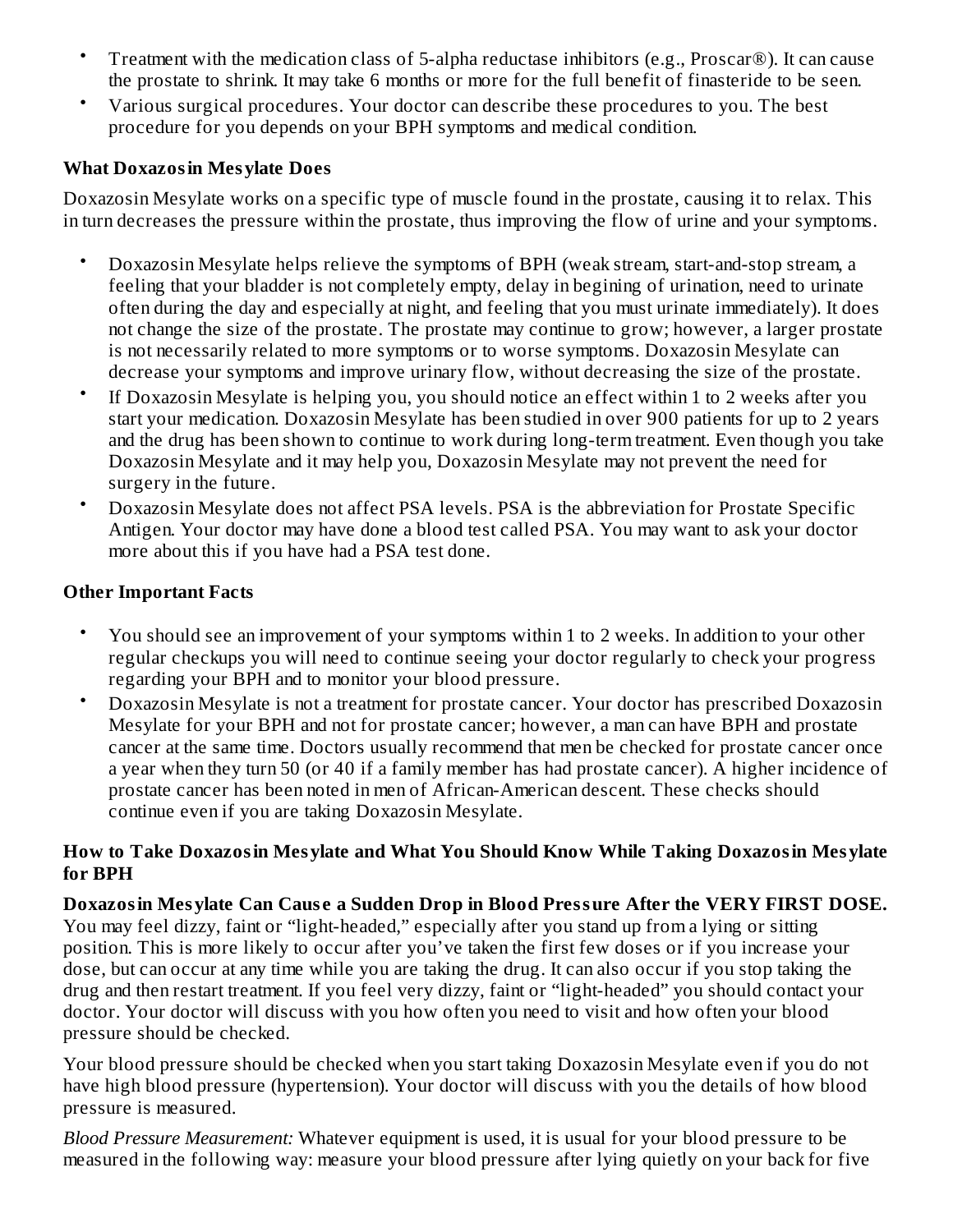- Treatment with the medication class of 5-alpha reductase inhibitors (e.g., Proscar®). It can cause the prostate to shrink. It may take 6 months or more for the full benefit of finasteride to be seen.
- Various surgical procedures. Your doctor can describe these procedures to you. The best procedure for you depends on your BPH symptoms and medical condition.

## **What Doxazosin Mesylate Does**

Doxazosin Mesylate works on a specific type of muscle found in the prostate, causing it to relax. This in turn decreases the pressure within the prostate, thus improving the flow of urine and your symptoms.

- Doxazosin Mesylate helps relieve the symptoms of BPH (weak stream, start-and-stop stream, a feeling that your bladder is not completely empty, delay in begining of urination, need to urinate often during the day and especially at night, and feeling that you must urinate immediately). It does not change the size of the prostate. The prostate may continue to grow; however, a larger prostate is not necessarily related to more symptoms or to worse symptoms. Doxazosin Mesylate can decrease your symptoms and improve urinary flow, without decreasing the size of the prostate.
- If Doxazosin Mesylate is helping you, you should notice an effect within 1 to 2 weeks after you start your medication. Doxazosin Mesylate has been studied in over 900 patients for up to 2 years and the drug has been shown to continue to work during long-term treatment. Even though you take Doxazosin Mesylate and it may help you, Doxazosin Mesylate may not prevent the need for surgery in the future.
- Doxazosin Mesylate does not affect PSA levels. PSA is the abbreviation for Prostate Specific Antigen. Your doctor may have done a blood test called PSA. You may want to ask your doctor more about this if you have had a PSA test done.

# **Other Important Facts**

- You should see an improvement of your symptoms within 1 to 2 weeks. In addition to your other regular checkups you will need to continue seeing your doctor regularly to check your progress regarding your BPH and to monitor your blood pressure.
- Doxazosin Mesylate is not a treatment for prostate cancer. Your doctor has prescribed Doxazosin Mesylate for your BPH and not for prostate cancer; however, a man can have BPH and prostate cancer at the same time. Doctors usually recommend that men be checked for prostate cancer once a year when they turn 50 (or 40 if a family member has had prostate cancer). A higher incidence of prostate cancer has been noted in men of African-American descent. These checks should continue even if you are taking Doxazosin Mesylate.

### **How to Take Doxazosin Mesylate and What You Should Know While Taking Doxazosin Mesylate for BPH**

**Doxazosin Mesylate Can Caus e a Sudden Drop in Blood Pressure After the VERY FIRST DOSE.** You may feel dizzy, faint or "light-headed," especially after you stand up from a lying or sitting position. This is more likely to occur after you've taken the first few doses or if you increase your dose, but can occur at any time while you are taking the drug. It can also occur if you stop taking the drug and then restart treatment. If you feel very dizzy, faint or "light-headed" you should contact your doctor. Your doctor will discuss with you how often you need to visit and how often your blood pressure should be checked.

Your blood pressure should be checked when you start taking Doxazosin Mesylate even if you do not have high blood pressure (hypertension). Your doctor will discuss with you the details of how blood pressure is measured.

*Blood Pressure Measurement:* Whatever equipment is used, it is usual for your blood pressure to be measured in the following way: measure your blood pressure after lying quietly on your back for five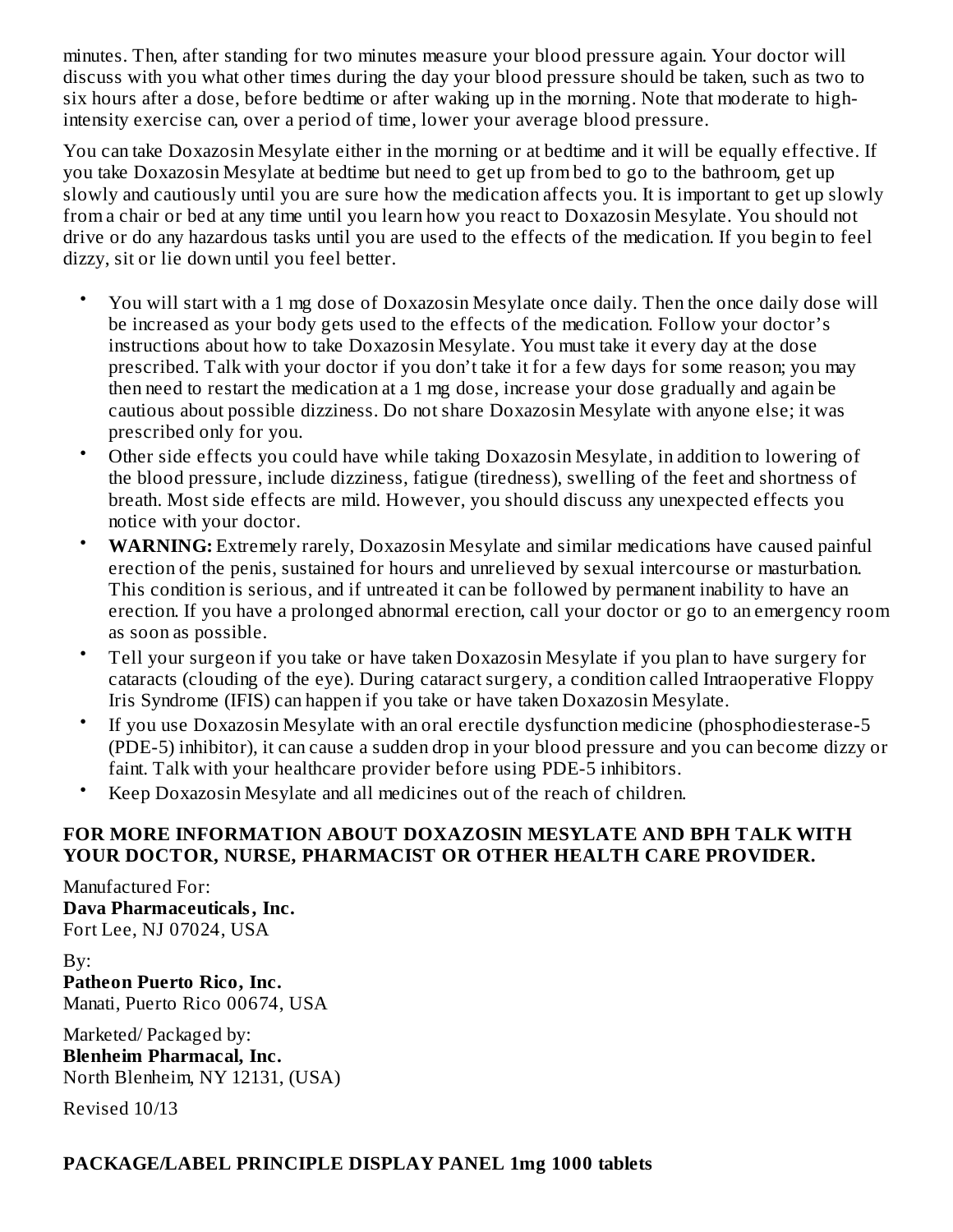minutes. Then, after standing for two minutes measure your blood pressure again. Your doctor will discuss with you what other times during the day your blood pressure should be taken, such as two to six hours after a dose, before bedtime or after waking up in the morning. Note that moderate to highintensity exercise can, over a period of time, lower your average blood pressure.

You can take Doxazosin Mesylate either in the morning or at bedtime and it will be equally effective. If you take Doxazosin Mesylate at bedtime but need to get up from bed to go to the bathroom, get up slowly and cautiously until you are sure how the medication affects you. It is important to get up slowly from a chair or bed at any time until you learn how you react to Doxazosin Mesylate. You should not drive or do any hazardous tasks until you are used to the effects of the medication. If you begin to feel dizzy, sit or lie down until you feel better.

- You will start with a 1 mg dose of Doxazosin Mesylate once daily. Then the once daily dose will be increased as your body gets used to the effects of the medication. Follow your doctor's instructions about how to take Doxazosin Mesylate. You must take it every day at the dose prescribed. Talk with your doctor if you don't take it for a few days for some reason; you may then need to restart the medication at a 1 mg dose, increase your dose gradually and again be cautious about possible dizziness. Do not share Doxazosin Mesylate with anyone else; it was prescribed only for you.
- Other side effects you could have while taking Doxazosin Mesylate, in addition to lowering of the blood pressure, include dizziness, fatigue (tiredness), swelling of the feet and shortness of breath. Most side effects are mild. However, you should discuss any unexpected effects you notice with your doctor.
- **WARNING:** Extremely rarely, Doxazosin Mesylate and similar medications have caused painful erection of the penis, sustained for hours and unrelieved by sexual intercourse or masturbation. This condition is serious, and if untreated it can be followed by permanent inability to have an erection. If you have a prolonged abnormal erection, call your doctor or go to an emergency room as soon as possible.
- Tell your surgeon if you take or have taken Doxazosin Mesylate if you plan to have surgery for cataracts (clouding of the eye). During cataract surgery, a condition called Intraoperative Floppy Iris Syndrome (IFIS) can happen if you take or have taken Doxazosin Mesylate.
- If you use Doxazosin Mesylate with an oral erectile dysfunction medicine (phosphodiesterase-5 (PDE-5) inhibitor), it can cause a sudden drop in your blood pressure and you can become dizzy or faint. Talk with your healthcare provider before using PDE-5 inhibitors.
- Keep Doxazosin Mesylate and all medicines out of the reach of children.

## **FOR MORE INFORMATION ABOUT DOXAZOSIN MESYLATE AND BPH TALK WITH YOUR DOCTOR, NURSE, PHARMACIST OR OTHER HEALTH CARE PROVIDER.**

Manufactured For: **Dava Pharmaceuticals, Inc.** Fort Lee, NJ 07024, USA

By: **Patheon Puerto Rico, Inc.** Manati, Puerto Rico 00674, USA

Marketed/ Packaged by: **Blenheim Pharmacal, Inc.** North Blenheim, NY 12131, (USA)

Revised 10/13

## **PACKAGE/LABEL PRINCIPLE DISPLAY PANEL 1mg 1000 tablets**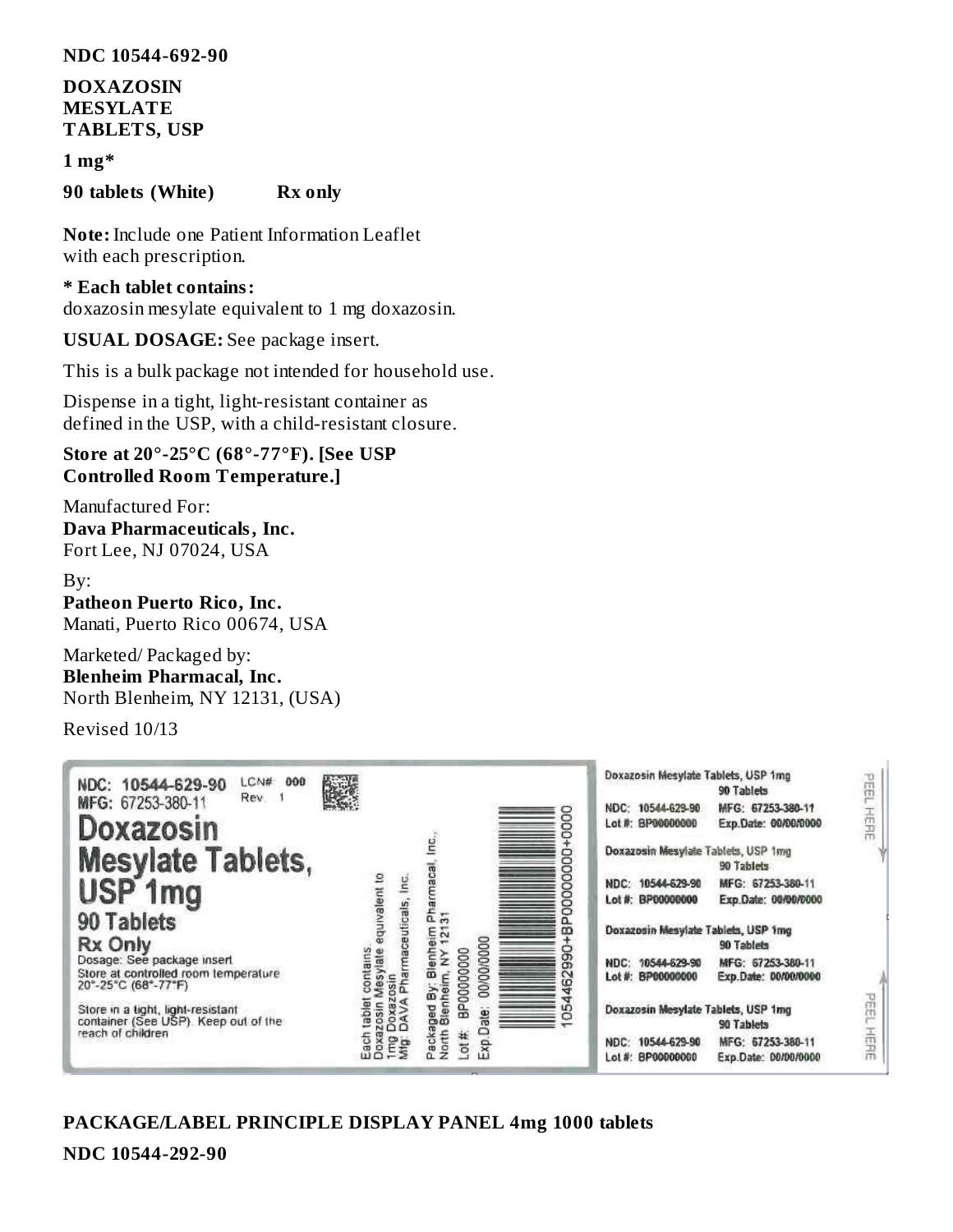#### **NDC 10544-692-90**

### **DOXAZOSIN MESYLATE TABLETS, USP**

#### **1 mg\***

#### **90 tablets (White) Rx only**

**Note:** Include one Patient Information Leaflet with each prescription.

#### **\* Each tablet contains:**

doxazosin mesylate equivalent to 1 mg doxazosin.

#### **USUAL DOSAGE:** See package insert.

This is a bulk package not intended for household use.

Dispense in a tight, light-resistant container as defined in the USP, with a child-resistant closure.

#### **Store at 20°-25°C (68°-77°F). [See USP Controlled Room Temperature.]**

Manufactured For: **Dava Pharmaceuticals, Inc.** Fort Lee, NJ 07024, USA

#### By:

**Patheon Puerto Rico, Inc.** Manati, Puerto Rico 00674, USA

Marketed/ Packaged by: **Blenheim Pharmacal, Inc.** North Blenheim, NY 12131, (USA)

Revised 10/13

| 000<br>LCN#<br>NDC: 10544-629-90<br>Rev. 1<br>MFG: 67253-380-11<br>Doxazosin<br><b>Mesylate Tablets,</b><br>USP <sub>1mg</sub><br>90 Tablets<br>Rx Only<br>Dosage: See package insert<br>Store at controlled room temperature<br>20°-25°C (68°-77°F)<br>Store in a tight, light-resistant<br>container (See USP). Keep out of the<br>reach of children | 楼设<br>equivalent to<br>lnc<br>euticals,<br>contains<br>esylate<br>88 | g<br>8<br>maca<br>c<br>▭<br>ಕ್ಷ್ಣ<br><b>eim</b><br>m<br>0000000000<br>▭<br>Blenh<br>BP00000000<br>≩<br>ග<br>Packaged By: Bl<br>North Blenheim,<br>$\sim$<br>ന<br><b>LO</b><br>ale<br>≏ | Doxazosin Mesylate Tablets, USP 1mg<br>1932<br>90 Tablets<br>NDC: 10544-629-90<br>MFG: 67253-380-11<br>五日記<br>Lot #: BP00000000<br>Exp.Date: 00/00/0000<br>Doxazosin Mesylate Tablets, USP 1mg<br>90 Tablets<br>NDC: 10544-629-90<br>MFG: 67253-380-11<br>Lot #: BP00000000<br>Exp.Date: 00/00/0000<br>Doxazosin Mesylate Tablets, USP 1mg<br>90 Tablets<br>NDC: 10544-629-90<br>MFG: 67253-380-11<br>Lot #: BP00000000<br>Exp.Date: 00/00/0000<br>Doxazosin Mesylate Tablets, USP 1mg<br>90 Tablets<br>MFG: 67253-380-11<br>10544-629-90<br>NDC: |
|--------------------------------------------------------------------------------------------------------------------------------------------------------------------------------------------------------------------------------------------------------------------------------------------------------------------------------------------------------|----------------------------------------------------------------------|----------------------------------------------------------------------------------------------------------------------------------------------------------------------------------------|---------------------------------------------------------------------------------------------------------------------------------------------------------------------------------------------------------------------------------------------------------------------------------------------------------------------------------------------------------------------------------------------------------------------------------------------------------------------------------------------------------------------------------------------------|
|                                                                                                                                                                                                                                                                                                                                                        | ach<br>Ê₽                                                            | $.01 \#$<br>$= xp$                                                                                                                                                                     | 玉田<br>Lot #: BP00000000<br>Exp.Date: 00/00/0000                                                                                                                                                                                                                                                                                                                                                                                                                                                                                                   |

#### **PACKAGE/LABEL PRINCIPLE DISPLAY PANEL 4mg 1000 tablets**

**NDC 10544-292-90**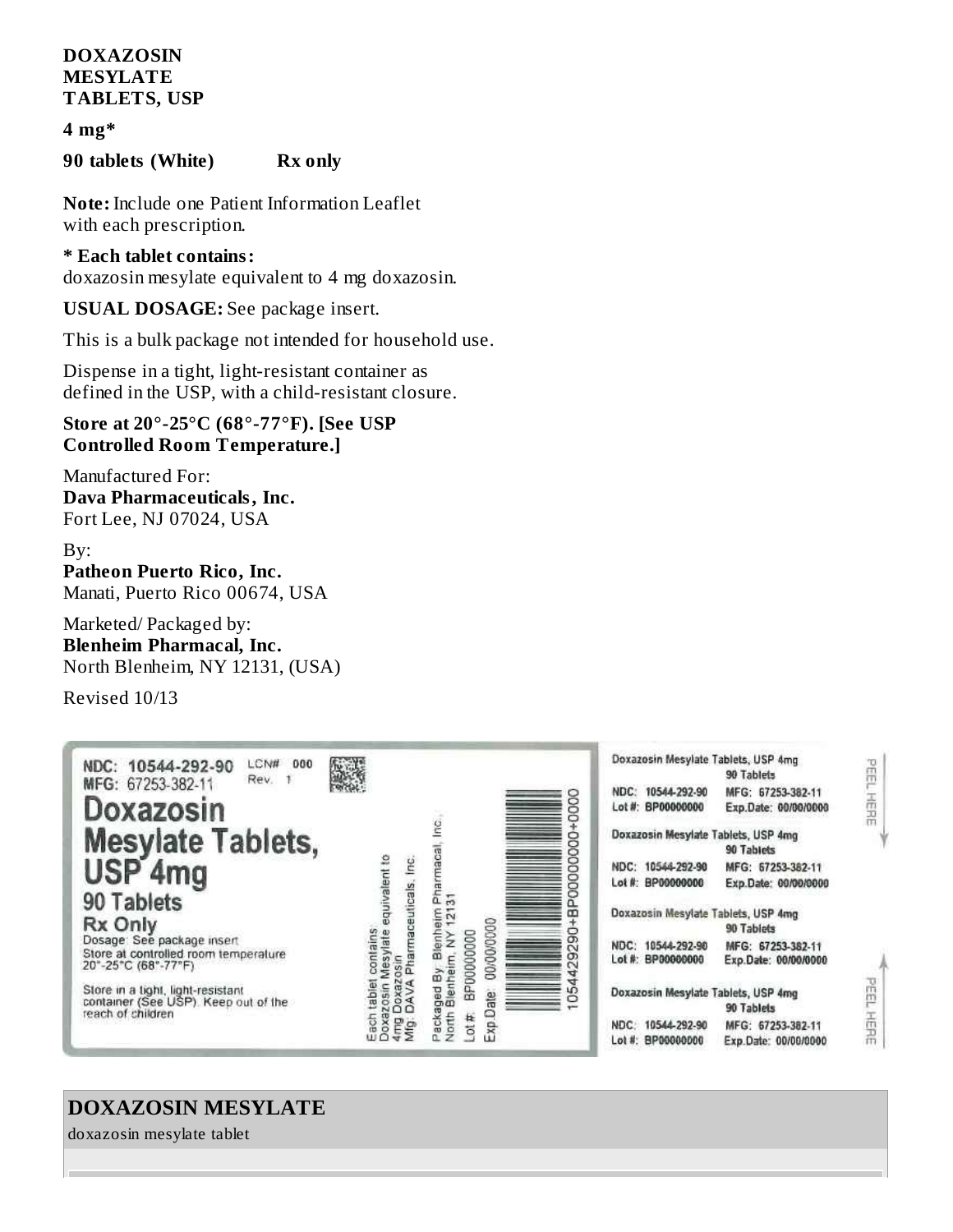### **DOXAZOSIN MESYLATE TABLETS, USP**

**4 mg\***

**90 tablets (White) Rx only**

**Note:** Include one Patient Information Leaflet with each prescription.

**\* Each tablet contains:** doxazosin mesylate equivalent to 4 mg doxazosin.

**USUAL DOSAGE:** See package insert.

This is a bulk package not intended for household use.

Dispense in a tight, light-resistant container as defined in the USP, with a child-resistant closure.

**Store at 20°-25°C (68°-77°F). [See USP Controlled Room Temperature.]**

Manufactured For: **Dava Pharmaceuticals, Inc.** Fort Lee, NJ 07024, USA

By: **Patheon Puerto Rico, Inc.** Manati, Puerto Rico 00674, USA

Marketed/ Packaged by: **Blenheim Pharmacal, Inc.** North Blenheim, NY 12131, (USA)

Revised 10/13

| LCN#<br>000<br>NDC: 10544-292-90<br>Rev. 1<br>MFG: 67253-382-11<br>Doxazosin<br><b>Mesylate Tablets,</b><br>USP <sub>4mg</sub><br>90 Tablets<br>Rx Only<br>Dosage: See package insert<br>Store at controlled room temperature<br>20"-25"C (68"-77"F)<br>Store in a tight, light-resistant<br>container (See USP). Keep out of the<br>reach of children | 感染<br>equivalent to<br>Pharmaceuticals, Inc.<br>sylate<br>Ξ<br>SO<br>œ<br>å<br>듢<br>Ë<br>Mfg | 8<br>Õ<br>Ō<br>o<br>Ō<br>Pharmaca<br>ខ្លី<br>8<br>5<br>Blenheim<br>m. NY 1213<br>œ<br>00/00/0000<br>o<br>$\geq$<br>BP00000000<br>σ<br>$\mathbb{N}$<br>Packaged By, BI<br>North Blenheim,<br>₩<br>ate<br>n.<br>Ö<br>O(E)<br>Exp | Doxazosin Mesylate Tablets, USP 4mg<br>PEEL<br>90 Tablets<br>10544-292-90<br>MFG: 67253-382-11<br>NDC:<br>王田田王<br>Lot #: BP00000000<br>Exp.Date: 00/00/0000<br>Doxazosin Mesylate Tablets, USP 4mg<br>90 Tablets<br>NDC: 10544-292-90<br>MFG: 67253-382-11<br>Lot #: BP00000000<br>Exp.Date: 00/00/0000<br>Doxazosin Mesylate Tablets, USP 4mg<br>90 Tablets<br>NDC: 10544-292-90<br>MFG: 67253-382-11<br>Lot #: BP00000000<br>Exp.Date: 00/00/0000<br>Ë<br>Doxazosin Mesylate Tablets, USP 4mg<br>90 Tablets<br>舌温<br>10544-292-90<br>MFG: 67253-382-11<br>NDC:<br>Lot #: BP00000000<br>Exp.Date: 00/00/0000 |
|--------------------------------------------------------------------------------------------------------------------------------------------------------------------------------------------------------------------------------------------------------------------------------------------------------------------------------------------------------|----------------------------------------------------------------------------------------------|--------------------------------------------------------------------------------------------------------------------------------------------------------------------------------------------------------------------------------|---------------------------------------------------------------------------------------------------------------------------------------------------------------------------------------------------------------------------------------------------------------------------------------------------------------------------------------------------------------------------------------------------------------------------------------------------------------------------------------------------------------------------------------------------------------------------------------------------------------|
|--------------------------------------------------------------------------------------------------------------------------------------------------------------------------------------------------------------------------------------------------------------------------------------------------------------------------------------------------------|----------------------------------------------------------------------------------------------|--------------------------------------------------------------------------------------------------------------------------------------------------------------------------------------------------------------------------------|---------------------------------------------------------------------------------------------------------------------------------------------------------------------------------------------------------------------------------------------------------------------------------------------------------------------------------------------------------------------------------------------------------------------------------------------------------------------------------------------------------------------------------------------------------------------------------------------------------------|

# **DOXAZOSIN MESYLATE**

doxazosin mesylate tablet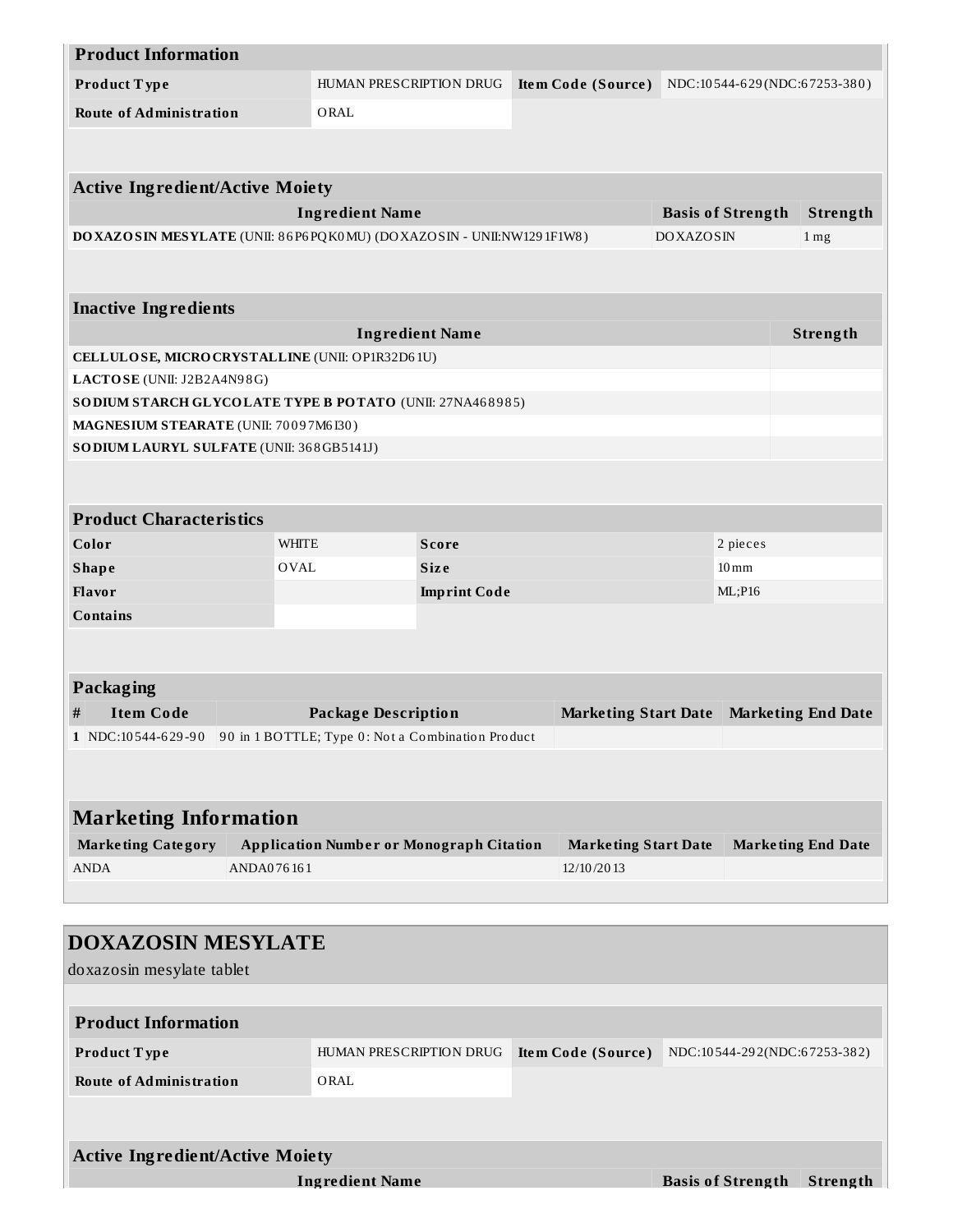| <b>Product Information</b>                                           |            |                                                 |                               |  |                             |                  |                              |                           |
|----------------------------------------------------------------------|------------|-------------------------------------------------|-------------------------------|--|-----------------------------|------------------|------------------------------|---------------------------|
| Product Type                                                         |            |                                                 | HUMAN PRESCRIPTION DRUG       |  | Item Code (Source)          |                  | NDC:10544-629(NDC:67253-380) |                           |
| <b>Route of Administration</b>                                       |            | ORAL                                            |                               |  |                             |                  |                              |                           |
|                                                                      |            |                                                 |                               |  |                             |                  |                              |                           |
|                                                                      |            |                                                 |                               |  |                             |                  |                              |                           |
| <b>Active Ingredient/Active Moiety</b>                               |            |                                                 |                               |  |                             |                  |                              |                           |
|                                                                      |            | <b>Ingredient Name</b>                          |                               |  |                             |                  | <b>Basis of Strength</b>     | Strength                  |
| DOXAZOSIN MESYLATE (UNII: 86P6PQK0MU) (DOXAZOSIN - UNII:NW1291F1W8)  |            |                                                 |                               |  |                             | <b>DOXAZOSIN</b> |                              | 1 <sub>mg</sub>           |
|                                                                      |            |                                                 |                               |  |                             |                  |                              |                           |
| <b>Inactive Ingredients</b>                                          |            |                                                 |                               |  |                             |                  |                              |                           |
|                                                                      |            |                                                 | <b>Ingredient Name</b>        |  |                             |                  |                              | Strength                  |
| CELLULOSE, MICRO CRYSTALLINE (UNII: OP1R32D61U)                      |            |                                                 |                               |  |                             |                  |                              |                           |
| LACTOSE (UNII: J2B2A4N98G)                                           |            |                                                 |                               |  |                             |                  |                              |                           |
| SODIUM STARCH GLYCOLATE TYPE B POTATO (UNII: 27NA468985)             |            |                                                 |                               |  |                             |                  |                              |                           |
| MAGNESIUM STEARATE (UNII: 70097M6130)                                |            |                                                 |                               |  |                             |                  |                              |                           |
| SODIUM LAURYL SULFATE (UNII: 368GB5141J)                             |            |                                                 |                               |  |                             |                  |                              |                           |
|                                                                      |            |                                                 |                               |  |                             |                  |                              |                           |
|                                                                      |            |                                                 |                               |  |                             |                  |                              |                           |
| <b>Product Characteristics</b>                                       |            |                                                 |                               |  |                             |                  |                              |                           |
| Color                                                                |            | WHITE                                           | <b>Score</b>                  |  |                             |                  | 2 pieces                     |                           |
| <b>Shape</b>                                                         |            | OVAL                                            | <b>Size</b>                   |  |                             |                  | $10 \,\mathrm{mm}$           |                           |
| Flavor                                                               |            |                                                 | <b>Imprint Code</b><br>ML;P16 |  |                             |                  |                              |                           |
| <b>Contains</b>                                                      |            |                                                 |                               |  |                             |                  |                              |                           |
|                                                                      |            |                                                 |                               |  |                             |                  |                              |                           |
|                                                                      |            |                                                 |                               |  |                             |                  |                              |                           |
| Packaging                                                            |            |                                                 |                               |  |                             |                  |                              |                           |
| $\#$<br><b>Item Code</b>                                             |            | <b>Package Description</b>                      |                               |  | <b>Marketing Start Date</b> |                  |                              | <b>Marketing End Date</b> |
| 1 NDC:10544-629-90 90 in 1 BOTTLE; Type 0: Not a Combination Product |            |                                                 |                               |  |                             |                  |                              |                           |
|                                                                      |            |                                                 |                               |  |                             |                  |                              |                           |
|                                                                      |            |                                                 |                               |  |                             |                  |                              |                           |
| <b>Marketing Information</b>                                         |            |                                                 |                               |  |                             |                  |                              |                           |
| <b>Marketing Category</b>                                            |            | <b>Application Number or Monograph Citation</b> |                               |  | <b>Marketing Start Date</b> |                  |                              | <b>Marketing End Date</b> |
| <b>ANDA</b>                                                          | ANDA076161 |                                                 |                               |  | 12/10/2013                  |                  |                              |                           |
|                                                                      |            |                                                 |                               |  |                             |                  |                              |                           |
|                                                                      |            |                                                 |                               |  |                             |                  |                              |                           |
| <b>DOXAZOSIN MESYLATE</b>                                            |            |                                                 |                               |  |                             |                  |                              |                           |
|                                                                      |            |                                                 |                               |  |                             |                  |                              |                           |
| doxazosin mesylate tablet                                            |            |                                                 |                               |  |                             |                  |                              |                           |

| <b>Product Information</b>     |                         |                    |                              |
|--------------------------------|-------------------------|--------------------|------------------------------|
| <b>Product Type</b>            | HUMAN PRESCRIPTION DRUG | Item Code (Source) | NDC:10544-292(NDC:67253-382) |
| <b>Route of Administration</b> | ORAL                    |                    |                              |
|                                |                         |                    |                              |
|                                |                         |                    |                              |

| <b>Active Ingredient/Active Moiety</b> |                                   |  |
|----------------------------------------|-----------------------------------|--|
| Ingredient Name                        | <b>Basis of Strength Strength</b> |  |